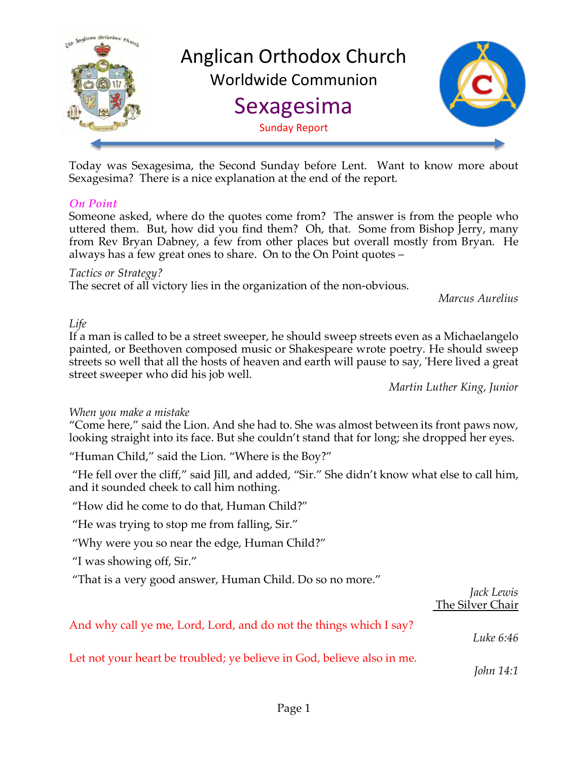

Today was Sexagesima, the Second Sunday before Lent. Want to know more about Sexagesima? There is a nice explanation at the end of the report.

## *On Point*

Someone asked, where do the quotes come from? The answer is from the people who uttered them. But, how did you find them? Oh, that. Some from Bishop Jerry, many from Rev Bryan Dabney, a few from other places but overall mostly from Bryan. He always has a few great ones to share. On to the On Point quotes –

*Tactics or Strategy?*

The secret of all victory lies in the organization of the non-obvious.

*Marcus Aurelius*

#### *Life*

If a man is called to be a street sweeper, he should sweep streets even as a Michaelangelo painted, or Beethoven composed music or Shakespeare wrote poetry. He should sweep streets so well that all the hosts of heaven and earth will pause to say, 'Here lived a great street sweeper who did his job well.

*Martin Luther King, Junior*

## *When you make a mistake*

"Come here," said the Lion. And she had to. She was almost between its front paws now, looking straight into its face. But she couldn't stand that for long; she dropped her eyes.

"Human Child," said the Lion. "Where is the Boy?"

"He fell over the cliff," said Jill, and added, "Sir." She didn't know what else to call him, and it sounded cheek to call him nothing.

"How did he come to do that, Human Child?"

"He was trying to stop me from falling, Sir."

"Why were you so near the edge, Human Child?"

"I was showing off, Sir."

"That is a very good answer, Human Child. Do so no more."

|                                                                        | Jack Lewis<br>The Silver Chair |
|------------------------------------------------------------------------|--------------------------------|
| And why call ye me, Lord, Lord, and do not the things which I say?     | Luke 6:46                      |
| Let not your heart be troubled; ye believe in God, believe also in me. | John 14:1                      |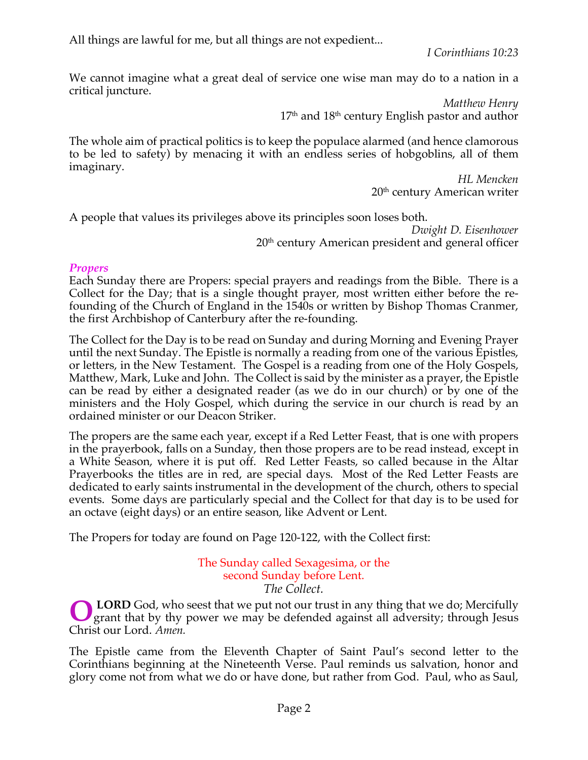All things are lawful for me, but all things are not expedient...

*I Corinthians 10:23*

We cannot imagine what a great deal of service one wise man may do to a nation in a critical juncture.

> *Matthew Henry*  $17<sup>th</sup>$  and  $18<sup>th</sup>$  century English pastor and author

The whole aim of practical politics is to keep the populace alarmed (and hence clamorous to be led to safety) by menacing it with an endless series of hobgoblins, all of them imaginary.

*HL Mencken* 20th century American writer

A people that values its privileges above its principles soon loses both.

*Dwight D. Eisenhower* 20<sup>th</sup> century American president and general officer

# *Propers*

Each Sunday there are Propers: special prayers and readings from the Bible. There is a Collect for the Day; that is a single thought prayer, most written either before the refounding of the Church of England in the 1540s or written by Bishop Thomas Cranmer, the first Archbishop of Canterbury after the re-founding.

The Collect for the Day is to be read on Sunday and during Morning and Evening Prayer until the next Sunday. The Epistle is normally a reading from one of the various Epistles, or letters, in the New Testament. The Gospel is a reading from one of the Holy Gospels, Matthew, Mark, Luke and John. The Collect is said by the minister as a prayer, the Epistle can be read by either a designated reader (as we do in our church) or by one of the ministers and the Holy Gospel, which during the service in our church is read by an ordained minister or our Deacon Striker.

The propers are the same each year, except if a Red Letter Feast, that is one with propers in the prayerbook, falls on a Sunday, then those propers are to be read instead, except in a White Season, where it is put off. Red Letter Feasts, so called because in the Altar Prayerbooks the titles are in red, are special days. Most of the Red Letter Feasts are dedicated to early saints instrumental in the development of the church, others to special events. Some days are particularly special and the Collect for that day is to be used for an octave (eight days) or an entire season, like Advent or Lent.

The Propers for today are found on Page 120-122, with the Collect first:

The Sunday called Sexagesima, or the second Sunday before Lent. *The Collect.*

**LORD** God, who seest that we put not our trust in any thing that we do; Mercifully grant that by thy power we may be defended against all adversity; through Jesus Christ our Lord. *Amen.* **O**

The Epistle came from the Eleventh Chapter of Saint Paul's second letter to the Corinthians beginning at the Nineteenth Verse. Paul reminds us salvation, honor and glory come not from what we do or have done, but rather from God. Paul, who as Saul,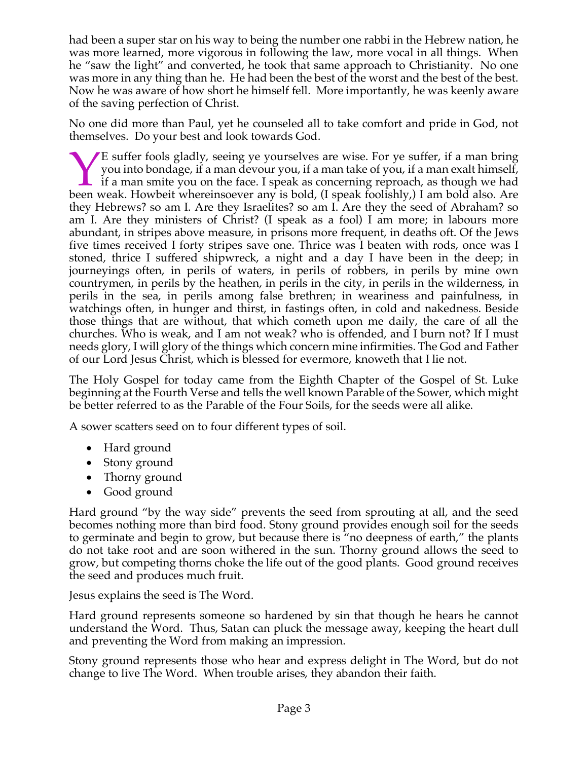had been a super star on his way to being the number one rabbi in the Hebrew nation, he was more learned, more vigorous in following the law, more vocal in all things. When he "saw the light" and converted, he took that same approach to Christianity. No one was more in any thing than he. He had been the best of the worst and the best of the best. Now he was aware of how short he himself fell. More importantly, he was keenly aware of the saving perfection of Christ.

No one did more than Paul, yet he counseled all to take comfort and pride in God, not themselves. Do your best and look towards God.

E suffer fools gladly, seeing ye yourselves are wise. For ye suffer, if a man bring you into bondage, if a man devour you, if a man take of you, if a man exalt himself, if a man smite you on the face. I speak as concerning reproach, as though we had E suffer fools gladly, seeing ye yourselves are wise. For ye suffer, if a man bring you into bondage, if a man devour you, if a man take of you, if a man exalt himself, if a man smite you on the face. I speak as concerning they Hebrews? so am I. Are they Israelites? so am I. Are they the seed of Abraham? so am I. Are they ministers of Christ? (I speak as a fool) I am more; in labours more abundant, in stripes above measure, in prisons more frequent, in deaths oft. Of the Jews five times received I forty stripes save one. Thrice was I beaten with rods, once was I stoned, thrice I suffered shipwreck, a night and a day I have been in the deep; in journeyings often, in perils of waters, in perils of robbers, in perils by mine own countrymen, in perils by the heathen, in perils in the city, in perils in the wilderness, in perils in the sea, in perils among false brethren; in weariness and painfulness, in watchings often, in hunger and thirst, in fastings often, in cold and nakedness. Beside those things that are without, that which cometh upon me daily, the care of all the churches. Who is weak, and I am not weak? who is offended, and I burn not? If I must needs glory, I will glory of the things which concern mine infirmities. The God and Father of our Lord Jesus Christ, which is blessed for evermore, knoweth that I lie not.

The Holy Gospel for today came from the Eighth Chapter of the Gospel of St. Luke beginning at the Fourth Verse and tells the well known Parable of the Sower, which might be better referred to as the Parable of the Four Soils, for the seeds were all alike.

A sower scatters seed on to four different types of soil.

- Hard ground
- Stony ground
- Thorny ground
- Good ground

Hard ground "by the way side" prevents the seed from sprouting at all, and the seed becomes nothing more than bird food. Stony ground provides enough soil for the seeds to germinate and begin to grow, but because there is "no deepness of earth," the plants do not take root and are soon withered in the sun. Thorny ground allows the seed to grow, but competing thorns choke the life out of the good plants. Good ground receives the seed and produces much fruit.

Jesus explains the seed is The Word.

Hard ground represents someone so hardened by sin that though he hears he cannot understand the Word. Thus, Satan can pluck the message away, keeping the heart dull and preventing the Word from making an impression.

Stony ground represents those who hear and express delight in The Word, but do not change to live The Word. When trouble arises, they abandon their faith.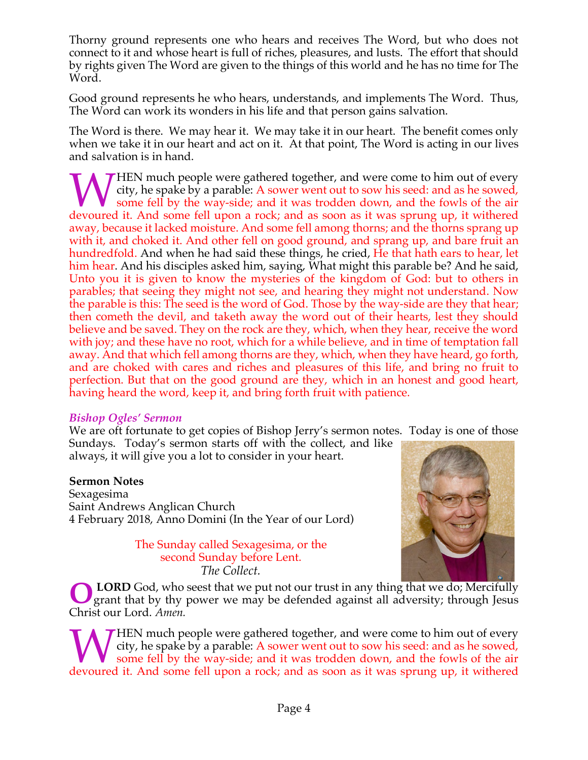Thorny ground represents one who hears and receives The Word, but who does not connect to it and whose heart is full of riches, pleasures, and lusts. The effort that should by rights given The Word are given to the things of this world and he has no time for The Word.

Good ground represents he who hears, understands, and implements The Word. Thus, The Word can work its wonders in his life and that person gains salvation.

The Word is there. We may hear it. We may take it in our heart. The benefit comes only when we take it in our heart and act on it. At that point, The Word is acting in our lives and salvation is in hand.

**THEN** much people were gathered together, and were come to him out of every city, he spake by a parable: A sower went out to sow his seed: and as he sowed, some fell by the way-side; and it was trodden down, and the fowls of the air WHEN much people were gathered together, and were come to him out of every city, he spake by a parable: A sower went out to sow his seed: and as he sowed, some fell by the way-side; and it was trodden down, and the fowls o away, because it lacked moisture. And some fell among thorns; and the thorns sprang up with it, and choked it. And other fell on good ground, and sprang up, and bare fruit an hundredfold. And when he had said these things, he cried, He that hath ears to hear, let him hear. And his disciples asked him, saying, What might this parable be? And he said, Unto you it is given to know the mysteries of the kingdom of God: but to others in parables; that seeing they might not see, and hearing they might not understand. Now the parable is this: The seed is the word of God. Those by the way-side are they that hear; then cometh the devil, and taketh away the word out of their hearts, lest they should believe and be saved. They on the rock are they, which, when they hear, receive the word with joy; and these have no root, which for a while believe, and in time of temptation fall away. And that which fell among thorns are they, which, when they have heard, go forth, and are choked with cares and riches and pleasures of this life, and bring no fruit to perfection. But that on the good ground are they, which in an honest and good heart, having heard the word, keep it, and bring forth fruit with patience.

## *Bishop Ogles' Sermon*

We are oft fortunate to get copies of Bishop Jerry's sermon notes. Today is one of those Sundays. Today's sermon starts off with the collect, and like

always, it will give you a lot to consider in your heart.

## **Sermon Notes**

Sexagesima Saint Andrews Anglican Church 4 February 2018, Anno Domini (In the Year of our Lord)

> The Sunday called Sexagesima, or the second Sunday before Lent. *The Collect.*



**LORD** God, who seest that we put not our trust in any thing that we do; Mercifully grant that by thy power we may be defended against all adversity; through Jesus Christ our Lord. *Amen.* **O**

**THEN** much people were gathered together, and were come to him out of every city, he spake by a parable: A sower went out to sow his seed: and as he sowed, some fell by the way-side; and it was trodden down, and the fowls of the air WHEN much people were gathered together, and were come to him out of every city, he spake by a parable: A sower went out to sow his seed: and as he sowed, some fell by the way-side; and it was trodden down, and the fowls o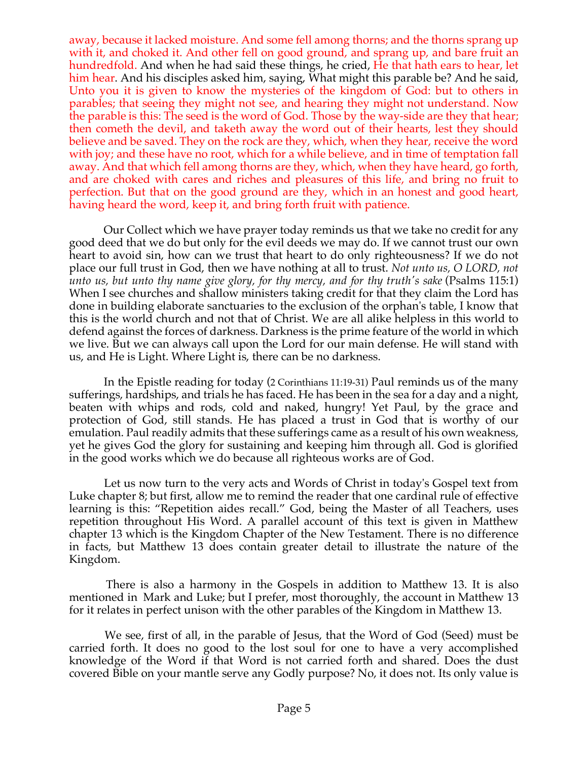away, because it lacked moisture. And some fell among thorns; and the thorns sprang up with it, and choked it. And other fell on good ground, and sprang up, and bare fruit an hundredfold. And when he had said these things, he cried, He that hath ears to hear, let him hear. And his disciples asked him, saying, What might this parable be? And he said, Unto you it is given to know the mysteries of the kingdom of God: but to others in parables; that seeing they might not see, and hearing they might not understand. Now the parable is this: The seed is the word of God. Those by the way-side are they that hear; then cometh the devil, and taketh away the word out of their hearts, lest they should believe and be saved. They on the rock are they, which, when they hear, receive the word with joy; and these have no root, which for a while believe, and in time of temptation fall away. And that which fell among thorns are they, which, when they have heard, go forth, and are choked with cares and riches and pleasures of this life, and bring no fruit to perfection. But that on the good ground are they, which in an honest and good heart, having heard the word, keep it, and bring forth fruit with patience.

Our Collect which we have prayer today reminds us that we take no credit for any good deed that we do but only for the evil deeds we may do. If we cannot trust our own heart to avoid sin, how can we trust that heart to do only righteousness? If we do not place our full trust in God, then we have nothing at all to trust. *Not unto us, O LORD, not unto us, but unto thy name give glory, for thy mercy, and for thy truth's sake* (Psalms 115:1) When I see churches and shallow ministers taking credit for that they claim the Lord has done in building elaborate sanctuaries to the exclusion of the orphan's table, I know that this is the world church and not that of Christ. We are all alike helpless in this world to defend against the forces of darkness. Darkness is the prime feature of the world in which we live. But we can always call upon the Lord for our main defense. He will stand with us, and He is Light. Where Light is, there can be no darkness.

In the Epistle reading for today (2 Corinthians 11:19-31) Paul reminds us of the many sufferings, hardships, and trials he has faced. He has been in the sea for a day and a night, beaten with whips and rods, cold and naked, hungry! Yet Paul, by the grace and protection of God, still stands. He has placed a trust in God that is worthy of our emulation. Paul readily admits that these sufferings came as a result of his own weakness, yet he gives God the glory for sustaining and keeping him through all. God is glorified in the good works which we do because all righteous works are of God.

Let us now turn to the very acts and Words of Christ in today's Gospel text from Luke chapter 8; but first, allow me to remind the reader that one cardinal rule of effective learning is this: "Repetition aides recall." God, being the Master of all Teachers, uses repetition throughout His Word. A parallel account of this text is given in Matthew chapter 13 which is the Kingdom Chapter of the New Testament. There is no difference in facts, but Matthew 13 does contain greater detail to illustrate the nature of the Kingdom.

There is also a harmony in the Gospels in addition to Matthew 13. It is also mentioned in Mark and Luke; but I prefer, most thoroughly, the account in Matthew 13 for it relates in perfect unison with the other parables of the Kingdom in Matthew 13.

We see, first of all, in the parable of Jesus, that the Word of God (Seed) must be carried forth. It does no good to the lost soul for one to have a very accomplished knowledge of the Word if that Word is not carried forth and shared. Does the dust covered Bible on your mantle serve any Godly purpose? No, it does not. Its only value is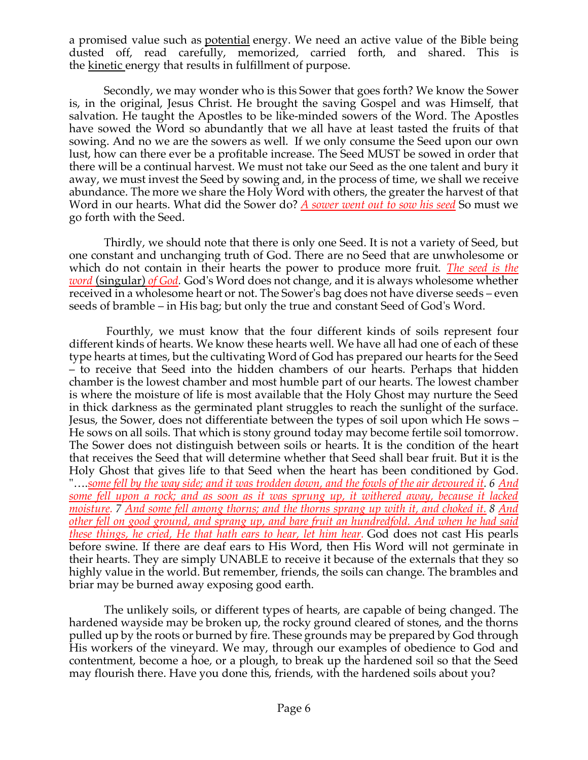a promised value such as potential energy. We need an active value of the Bible being dusted off, read carefully, memorized, carried forth, and shared. This is the kinetic energy that results in fulfillment of purpose.

Secondly, we may wonder who is this Sower that goes forth? We know the Sower is, in the original, Jesus Christ. He brought the saving Gospel and was Himself, that salvation. He taught the Apostles to be like-minded sowers of the Word. The Apostles have sowed the Word so abundantly that we all have at least tasted the fruits of that sowing. And no we are the sowers as well. If we only consume the Seed upon our own lust, how can there ever be a profitable increase. The Seed MUST be sowed in order that there will be a continual harvest. We must not take our Seed as the one talent and bury it away, we must invest the Seed by sowing and, in the process of time, we shall we receive abundance. The more we share the Holy Word with others, the greater the harvest of that Word in our hearts. What did the Sower do? *A sower went out to sow his seed* So must we go forth with the Seed.

Thirdly, we should note that there is only one Seed. It is not a variety of Seed, but one constant and unchanging truth of God. There are no Seed that are unwholesome or which do not contain in their hearts the power to produce more fruit. *The seed is the word* (singular) *of God.* God's Word does not change, and it is always wholesome whether received in a wholesome heart or not. The Sower's bag does not have diverse seeds – even seeds of bramble – in His bag; but only the true and constant Seed of God's Word.

Fourthly, we must know that the four different kinds of soils represent four different kinds of hearts. We know these hearts well. We have all had one of each of these type hearts at times, but the cultivating Word of God has prepared our hearts for the Seed – to receive that Seed into the hidden chambers of our hearts. Perhaps that hidden chamber is the lowest chamber and most humble part of our hearts. The lowest chamber is where the moisture of life is most available that the Holy Ghost may nurture the Seed in thick darkness as the germinated plant struggles to reach the sunlight of the surface. Jesus, the Sower, does not differentiate between the types of soil upon which He sows – He sows on all soils. That which is stony ground today may become fertile soil tomorrow. The Sower does not distinguish between soils or hearts. It is the condition of the heart that receives the Seed that will determine whether that Seed shall bear fruit. But it is the Holy Ghost that gives life to that Seed when the heart has been conditioned by God. "….*some fell by the way side; and it was trodden down, and the fowls of the air devoured it. 6 And some fell upon a rock; and as soon as it was sprung up, it withered away, because it lacked moisture. 7 And some fell among thorns; and the thorns sprang up with it, and choked it. 8 And other fell on good ground, and sprang up, and bare fruit an hundredfold. And when he had said these things, he cried, He that hath ears to hear, let him hear.* God does not cast His pearls before swine. If there are deaf ears to His Word, then His Word will not germinate in their hearts. They are simply UNABLE to receive it because of the externals that they so highly value in the world. But remember, friends, the soils can change. The brambles and briar may be burned away exposing good earth.

The unlikely soils, or different types of hearts, are capable of being changed. The hardened wayside may be broken up, the rocky ground cleared of stones, and the thorns pulled up by the roots or burned by fire. These grounds may be prepared by God through His workers of the vineyard. We may, through our examples of obedience to God and contentment, become a hoe, or a plough, to break up the hardened soil so that the Seed may flourish there. Have you done this, friends, with the hardened soils about you?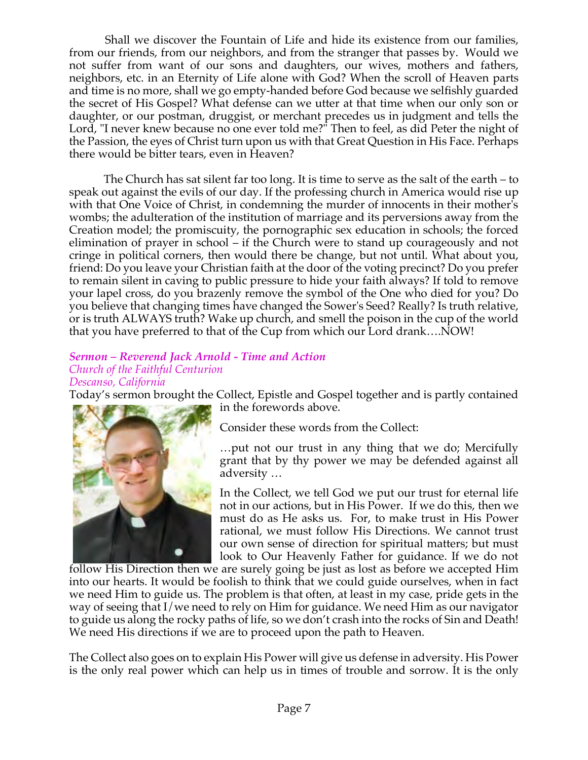Shall we discover the Fountain of Life and hide its existence from our families, from our friends, from our neighbors, and from the stranger that passes by. Would we not suffer from want of our sons and daughters, our wives, mothers and fathers, neighbors, etc. in an Eternity of Life alone with God? When the scroll of Heaven parts and time is no more, shall we go empty-handed before God because we selfishly guarded the secret of His Gospel? What defense can we utter at that time when our only son or daughter, or our postman, druggist, or merchant precedes us in judgment and tells the Lord, "I never knew because no one ever told me?" Then to feel, as did Peter the night of the Passion, the eyes of Christ turn upon us with that Great Question in His Face. Perhaps there would be bitter tears, even in Heaven?

The Church has sat silent far too long. It is time to serve as the salt of the earth – to speak out against the evils of our day. If the professing church in America would rise up with that One Voice of Christ, in condemning the murder of innocents in their mother's wombs; the adulteration of the institution of marriage and its perversions away from the Creation model; the promiscuity, the pornographic sex education in schools; the forced elimination of prayer in school – if the Church were to stand up courageously and not cringe in political corners, then would there be change, but not until. What about you, friend: Do you leave your Christian faith at the door of the voting precinct? Do you prefer to remain silent in caving to public pressure to hide your faith always? If told to remove your lapel cross, do you brazenly remove the symbol of the One who died for you? Do you believe that changing times have changed the Sower's Seed? Really? Is truth relative, or is truth ALWAYS truth? Wake up church, and smell the poison in the cup of the world that you have preferred to that of the Cup from which our Lord drank….NOW!

#### *Sermon – Reverend Jack Arnold - Time and Action Church of the Faithful Centurion Descanso, California*

Today's sermon brought the Collect, Epistle and Gospel together and is partly contained in the forewords above.



Consider these words from the Collect:

…put not our trust in any thing that we do; Mercifully grant that by thy power we may be defended against all adversity …

In the Collect, we tell God we put our trust for eternal life not in our actions, but in His Power. If we do this, then we must do as He asks us. For, to make trust in His Power rational, we must follow His Directions. We cannot trust our own sense of direction for spiritual matters; but must look to Our Heavenly Father for guidance. If we do not

follow His Direction then we are surely going be just as lost as before we accepted Him into our hearts. It would be foolish to think that we could guide ourselves, when in fact we need Him to guide us. The problem is that often, at least in my case, pride gets in the way of seeing that I/we need to rely on Him for guidance. We need Him as our navigator to guide us along the rocky paths of life, so we don't crash into the rocks of Sin and Death! We need His directions if we are to proceed upon the path to Heaven.

The Collect also goes on to explain His Power will give us defense in adversity. His Power is the only real power which can help us in times of trouble and sorrow. It is the only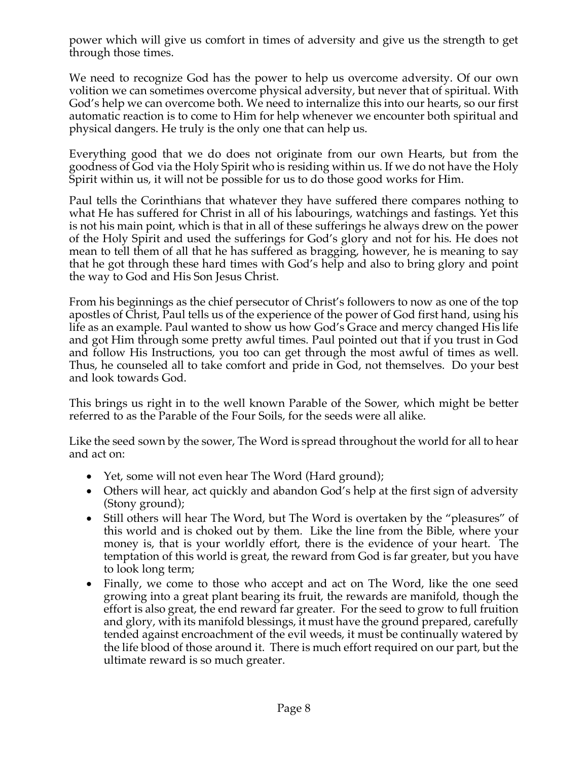power which will give us comfort in times of adversity and give us the strength to get through those times.

We need to recognize God has the power to help us overcome adversity. Of our own volition we can sometimes overcome physical adversity, but never that of spiritual. With God's help we can overcome both. We need to internalize this into our hearts, so our first automatic reaction is to come to Him for help whenever we encounter both spiritual and physical dangers. He truly is the only one that can help us.

Everything good that we do does not originate from our own Hearts, but from the goodness of God via the Holy Spirit who is residing within us. If we do not have the Holy Spirit within us, it will not be possible for us to do those good works for Him.

Paul tells the Corinthians that whatever they have suffered there compares nothing to what He has suffered for Christ in all of his labourings, watchings and fastings. Yet this is not his main point, which is that in all of these sufferings he always drew on the power of the Holy Spirit and used the sufferings for God's glory and not for his. He does not mean to tell them of all that he has suffered as bragging, however, he is meaning to say that he got through these hard times with God's help and also to bring glory and point the way to God and His Son Jesus Christ.

From his beginnings as the chief persecutor of Christ's followers to now as one of the top apostles of Christ, Paul tells us of the experience of the power of God first hand, using his life as an example. Paul wanted to show us how God's Grace and mercy changed His life and got Him through some pretty awful times. Paul pointed out that if you trust in God and follow His Instructions, you too can get through the most awful of times as well. Thus, he counseled all to take comfort and pride in God, not themselves. Do your best and look towards God.

This brings us right in to the well known Parable of the Sower, which might be better referred to as the Parable of the Four Soils, for the seeds were all alike.

Like the seed sown by the sower, The Word is spread throughout the world for all to hear and act on:

- Yet, some will not even hear The Word (Hard ground);
- Others will hear, act quickly and abandon God's help at the first sign of adversity (Stony ground);
- Still others will hear The Word, but The Word is overtaken by the "pleasures" of this world and is choked out by them. Like the line from the Bible, where your money is, that is your worldly effort, there is the evidence of your heart. The temptation of this world is great, the reward from God is far greater, but you have to look long term;
- Finally, we come to those who accept and act on The Word, like the one seed growing into a great plant bearing its fruit, the rewards are manifold, though the effort is also great, the end reward far greater. For the seed to grow to full fruition and glory, with its manifold blessings, it must have the ground prepared, carefully tended against encroachment of the evil weeds, it must be continually watered by the life blood of those around it. There is much effort required on our part, but the ultimate reward is so much greater.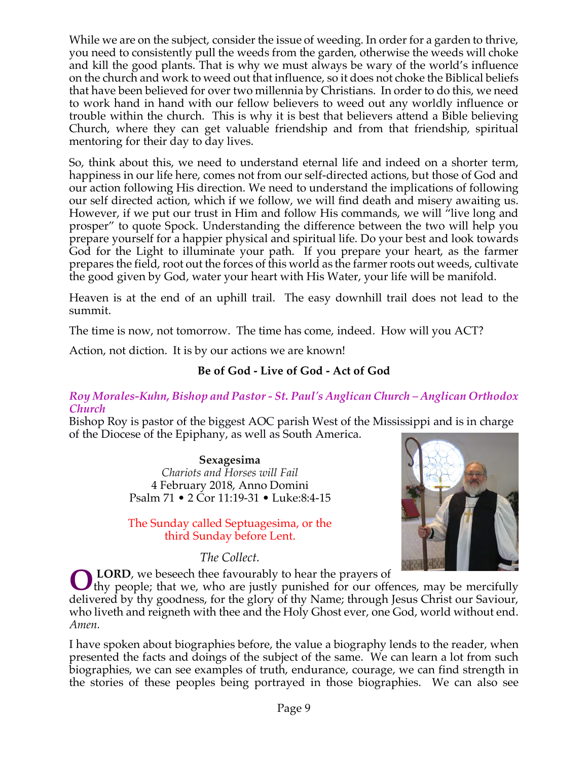While we are on the subject, consider the issue of weeding. In order for a garden to thrive, you need to consistently pull the weeds from the garden, otherwise the weeds will choke and kill the good plants. That is why we must always be wary of the world's influence on the church and work to weed out that influence, so it does not choke the Biblical beliefs that have been believed for over two millennia by Christians. In order to do this, we need to work hand in hand with our fellow believers to weed out any worldly influence or trouble within the church. This is why it is best that believers attend a Bible believing Church, where they can get valuable friendship and from that friendship, spiritual mentoring for their day to day lives.

So, think about this, we need to understand eternal life and indeed on a shorter term, happiness in our life here, comes not from our self-directed actions, but those of God and our action following His direction. We need to understand the implications of following our self directed action, which if we follow, we will find death and misery awaiting us. However, if we put our trust in Him and follow His commands, we will "live long and prosper" to quote Spock. Understanding the difference between the two will help you prepare yourself for a happier physical and spiritual life. Do your best and look towards God for the Light to illuminate your path. If you prepare your heart, as the farmer prepares the field, root out the forces of this world as the farmer roots out weeds, cultivate the good given by God, water your heart with His Water, your life will be manifold.

Heaven is at the end of an uphill trail. The easy downhill trail does not lead to the summit.

The time is now, not tomorrow. The time has come, indeed. How will you ACT?

Action, not diction. It is by our actions we are known!

## **Be of God - Live of God - Act of God**

#### *Roy Morales-Kuhn, Bishop and Pastor - St. Paul's Anglican Church – Anglican Orthodox Church*

Bishop Roy is pastor of the biggest AOC parish West of the Mississippi and is in charge of the Diocese of the Epiphany, as well as South America.

> **Sexagesima** *Chariots and Horses will Fail* 4 February 2018, Anno Domini Psalm 71 • 2 Cor 11:19-31 • Luke:8:4-15

## The Sunday called Septuagesima, or the third Sunday before Lent.

*The Collect.*



**LORD**, we beseech thee favourably to hear the prayers of **O** LORD, we beseech thee favourably to hear the prayers of thy people; that we, who are justly punished for our offences, may be mercifully

delivered by thy goodness, for the glory of thy Name; through Jesus Christ our Saviour, who liveth and reigneth with thee and the Holy Ghost ever, one God, world without end. *Amen.*

I have spoken about biographies before, the value a biography lends to the reader, when presented the facts and doings of the subject of the same. We can learn a lot from such biographies, we can see examples of truth, endurance, courage, we can find strength in the stories of these peoples being portrayed in those biographies. We can also see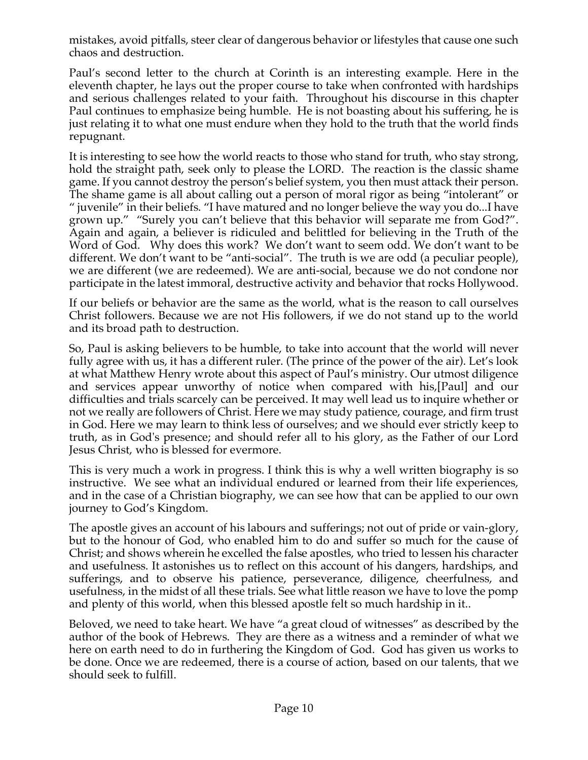mistakes, avoid pitfalls, steer clear of dangerous behavior or lifestyles that cause one such chaos and destruction.

Paul's second letter to the church at Corinth is an interesting example. Here in the eleventh chapter, he lays out the proper course to take when confronted with hardships and serious challenges related to your faith. Throughout his discourse in this chapter Paul continues to emphasize being humble. He is not boasting about his suffering, he is just relating it to what one must endure when they hold to the truth that the world finds repugnant.

It is interesting to see how the world reacts to those who stand for truth, who stay strong, hold the straight path, seek only to please the LORD. The reaction is the classic shame game. If you cannot destroy the person's belief system, you then must attack their person. The shame game is all about calling out a person of moral rigor as being "intolerant" or " juvenile" in their beliefs. "I have matured and no longer believe the way you do...I have grown up." "Surely you can't believe that this behavior will separate me from God?". Again and again, a believer is ridiculed and belittled for believing in the Truth of the Word of God. Why does this work? We don't want to seem odd. We don't want to be different. We don't want to be "anti-social". The truth is we are odd (a peculiar people), we are different (we are redeemed). We are anti-social, because we do not condone nor participate in the latest immoral, destructive activity and behavior that rocks Hollywood.

If our beliefs or behavior are the same as the world, what is the reason to call ourselves Christ followers. Because we are not His followers, if we do not stand up to the world and its broad path to destruction.

So, Paul is asking believers to be humble, to take into account that the world will never fully agree with us, it has a different ruler. (The prince of the power of the air). Let's look at what Matthew Henry wrote about this aspect of Paul's ministry. Our utmost diligence and services appear unworthy of notice when compared with his,[Paul] and our difficulties and trials scarcely can be perceived. It may well lead us to inquire whether or not we really are followers of Christ. Here we may study patience, courage, and firm trust in God. Here we may learn to think less of ourselves; and we should ever strictly keep to truth, as in God's presence; and should refer all to his glory, as the Father of our Lord Jesus Christ, who is blessed for evermore.

This is very much a work in progress. I think this is why a well written biography is so instructive. We see what an individual endured or learned from their life experiences, and in the case of a Christian biography, we can see how that can be applied to our own journey to God's Kingdom.

The apostle gives an account of his labours and sufferings; not out of pride or vain-glory, but to the honour of God, who enabled him to do and suffer so much for the cause of Christ; and shows wherein he excelled the false apostles, who tried to lessen his character and usefulness. It astonishes us to reflect on this account of his dangers, hardships, and sufferings, and to observe his patience, perseverance, diligence, cheerfulness, and usefulness, in the midst of all these trials. See what little reason we have to love the pomp and plenty of this world, when this blessed apostle felt so much hardship in it..

Beloved, we need to take heart. We have "a great cloud of witnesses" as described by the author of the book of Hebrews. They are there as a witness and a reminder of what we here on earth need to do in furthering the Kingdom of God. God has given us works to be done. Once we are redeemed, there is a course of action, based on our talents, that we should seek to fulfill.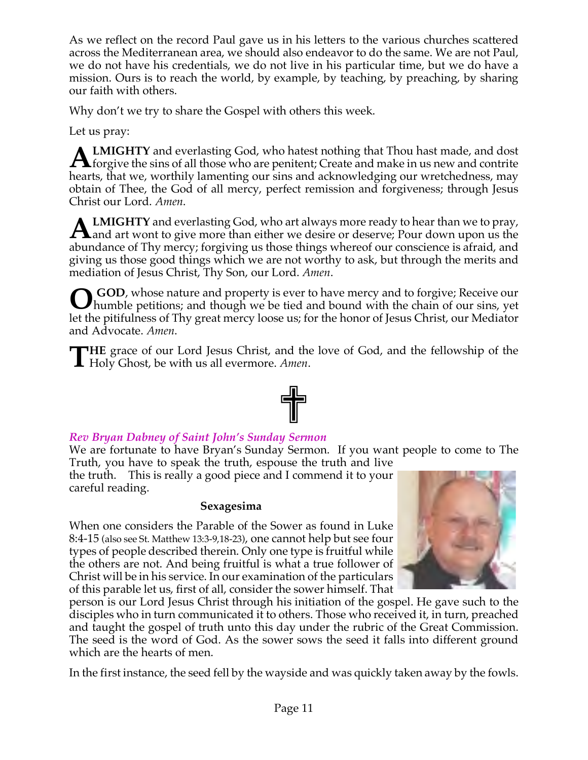As we reflect on the record Paul gave us in his letters to the various churches scattered across the Mediterranean area, we should also endeavor to do the same. We are not Paul, we do not have his credentials, we do not live in his particular time, but we do have a mission. Ours is to reach the world, by example, by teaching, by preaching, by sharing our faith with others.

Why don't we try to share the Gospel with others this week.

Let us pray:

**LMIGHTY** and everlasting God, who hatest nothing that Thou hast made, and dost **ALMIGHTY** and everlasting God, who hatest nothing that Thou hast made, and dost forgive the sins of all those who are penitent; Create and make in us new and contrite that the sins of all those who are penitent, Create an hearts, that we, worthily lamenting our sins and acknowledging our wretchedness, may obtain of Thee, the God of all mercy, perfect remission and forgiveness; through Jesus Christ our Lord. *Amen*.

**LMIGHTY** and everlasting God, who art always more ready to hear than we to pray, **ALMIGHTY** and everlasting God, who art always more ready to hear than we to pray, and art wont to give more than either we desire or deserve; Pour down upon us the show head of Theorem is the state of the state of Theorem abundance of Thy mercy; forgiving us those things whereof our conscience is afraid, and giving us those good things which we are not worthy to ask, but through the merits and mediation of Jesus Christ, Thy Son, our Lord. *Amen*.

**GOD**, whose nature and property is ever to have mercy and to forgive; Receive our **O** GOD, whose nature and property is ever to have mercy and to forgive; Receive our humble petitions; and though we be tied and bound with the chain of our sins, yet let the pitifulness of Thy great mercy loose us; for the honor of Jesus Christ, our Mediator and Advocate. *Amen*.

**HE** grace of our Lord Jesus Christ, and the love of God, and the fellowship of the **THE** grace of our Lord Jesus Christ, and the Holy Ghost, be with us all evermore. Amen.



# *Rev Bryan Dabney of Saint John's Sunday Sermon*

We are fortunate to have Bryan's Sunday Sermon. If you want people to come to The Truth, you have to speak the truth, espouse the truth and live

the truth. This is really a good piece and I commend it to your careful reading.

## **Sexagesima**

When one considers the Parable of the Sower as found in Luke 8:4-15 (also see St. Matthew 13:3-9,18-23), one cannot help but see four types of people described therein. Only one type is fruitful while the others are not. And being fruitful is what a true follower of Christ will be in his service. In our examination of the particulars of this parable let us, first of all, consider the sower himself. That



person is our Lord Jesus Christ through his initiation of the gospel. He gave such to the disciples who in turn communicated it to others. Those who received it, in turn, preached and taught the gospel of truth unto this day under the rubric of the Great Commission. The seed is the word of God. As the sower sows the seed it falls into different ground which are the hearts of men.

In the first instance, the seed fell by the wayside and was quickly taken away by the fowls.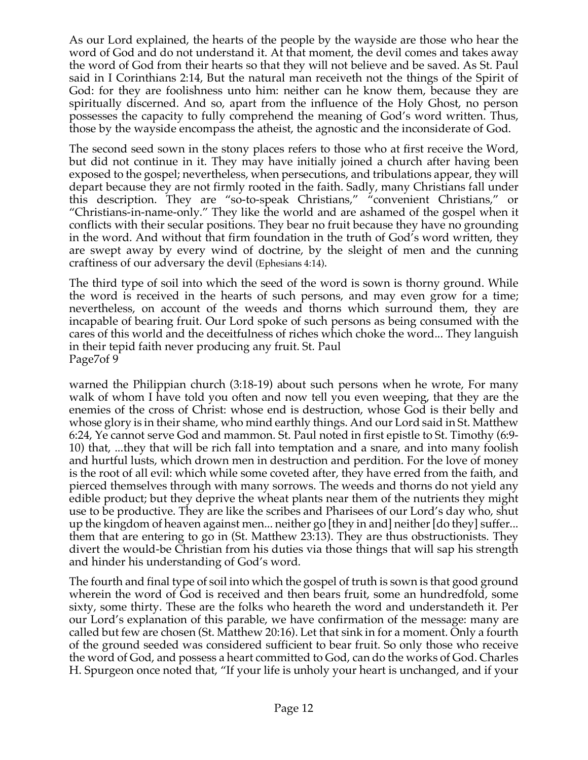As our Lord explained, the hearts of the people by the wayside are those who hear the word of God and do not understand it. At that moment, the devil comes and takes away the word of God from their hearts so that they will not believe and be saved. As St. Paul said in I Corinthians 2:14, But the natural man receiveth not the things of the Spirit of God: for they are foolishness unto him: neither can he know them, because they are spiritually discerned. And so, apart from the influence of the Holy Ghost, no person possesses the capacity to fully comprehend the meaning of God's word written. Thus, those by the wayside encompass the atheist, the agnostic and the inconsiderate of God.

The second seed sown in the stony places refers to those who at first receive the Word, but did not continue in it. They may have initially joined a church after having been exposed to the gospel; nevertheless, when persecutions, and tribulations appear, they will depart because they are not firmly rooted in the faith. Sadly, many Christians fall under this description. They are "so-to-speak Christians," "convenient Christians," or "Christians-in-name-only." They like the world and are ashamed of the gospel when it conflicts with their secular positions. They bear no fruit because they have no grounding in the word. And without that firm foundation in the truth of God's word written, they are swept away by every wind of doctrine, by the sleight of men and the cunning craftiness of our adversary the devil (Ephesians 4:14).

The third type of soil into which the seed of the word is sown is thorny ground. While the word is received in the hearts of such persons, and may even grow for a time; nevertheless, on account of the weeds and thorns which surround them, they are incapable of bearing fruit. Our Lord spoke of such persons as being consumed with the cares of this world and the deceitfulness of riches which choke the word... They languish in their tepid faith never producing any fruit. St. Paul Page7of 9

warned the Philippian church (3:18-19) about such persons when he wrote, For many walk of whom I have told you often and now tell you even weeping, that they are the enemies of the cross of Christ: whose end is destruction, whose God is their belly and whose glory is in their shame, who mind earthly things. And our Lord said in St. Matthew 6:24, Ye cannot serve God and mammon. St. Paul noted in first epistle to St. Timothy (6:9- 10) that, ...they that will be rich fall into temptation and a snare, and into many foolish and hurtful lusts, which drown men in destruction and perdition. For the love of money is the root of all evil: which while some coveted after, they have erred from the faith, and pierced themselves through with many sorrows. The weeds and thorns do not yield any edible product; but they deprive the wheat plants near them of the nutrients they might use to be productive. They are like the scribes and Pharisees of our Lord's day who, shut up the kingdom of heaven against men... neither go [they in and] neither [do they] suffer... them that are entering to go in (St. Matthew 23:13). They are thus obstructionists. They divert the would-be Christian from his duties via those things that will sap his strength and hinder his understanding of God's word.

The fourth and final type of soil into which the gospel of truth is sown is that good ground wherein the word of God is received and then bears fruit, some an hundredfold, some sixty, some thirty. These are the folks who heareth the word and understandeth it. Per our Lord's explanation of this parable, we have confirmation of the message: many are called but few are chosen (St. Matthew 20:16). Let that sink in for a moment. Only a fourth of the ground seeded was considered sufficient to bear fruit. So only those who receive the word of God, and possess a heart committed to God, can do the works of God. Charles H. Spurgeon once noted that, "If your life is unholy your heart is unchanged, and if your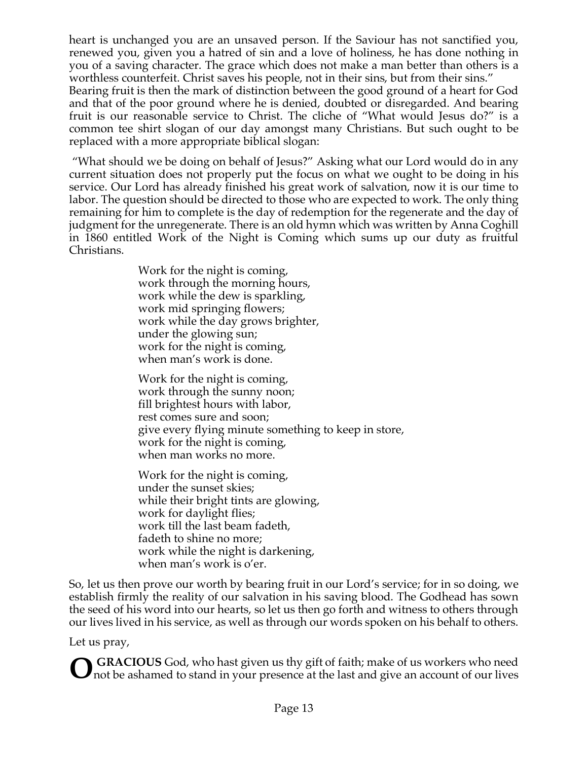heart is unchanged you are an unsaved person. If the Saviour has not sanctified you, renewed you, given you a hatred of sin and a love of holiness, he has done nothing in you of a saving character. The grace which does not make a man better than others is a worthless counterfeit. Christ saves his people, not in their sins, but from their sins."

Bearing fruit is then the mark of distinction between the good ground of a heart for God and that of the poor ground where he is denied, doubted or disregarded. And bearing fruit is our reasonable service to Christ. The cliche of "What would Jesus do?" is a common tee shirt slogan of our day amongst many Christians. But such ought to be replaced with a more appropriate biblical slogan:

"What should we be doing on behalf of Jesus?" Asking what our Lord would do in any current situation does not properly put the focus on what we ought to be doing in his service. Our Lord has already finished his great work of salvation, now it is our time to labor. The question should be directed to those who are expected to work. The only thing remaining for him to complete is the day of redemption for the regenerate and the day of judgment for the unregenerate. There is an old hymn which was written by Anna Coghill in 1860 entitled Work of the Night is Coming which sums up our duty as fruitful Christians.

> Work for the night is coming, work through the morning hours, work while the dew is sparkling, work mid springing flowers; work while the day grows brighter, under the glowing sun; work for the night is coming, when man's work is done.

Work for the night is coming, work through the sunny noon; fill brightest hours with labor, rest comes sure and soon; give every flying minute something to keep in store, work for the night is coming, when man works no more.

Work for the night is coming, under the sunset skies; while their bright tints are glowing, work for daylight flies; work till the last beam fadeth, fadeth to shine no more; work while the night is darkening, when man's work is o'er.

So, let us then prove our worth by bearing fruit in our Lord's service; for in so doing, we establish firmly the reality of our salvation in his saving blood. The Godhead has sown the seed of his word into our hearts, so let us then go forth and witness to others through our lives lived in his service, as well as through our words spoken on his behalf to others.

Let us pray,

**GRACIOUS** God, who hast given us thy gift of faith; make of us workers who need not be ashamed to stand in your presence at the last and give an account of our lives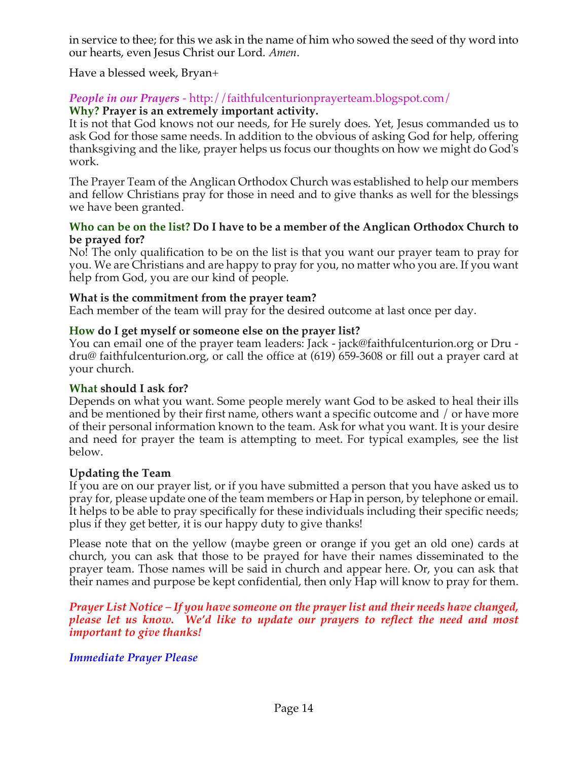in service to thee; for this we ask in the name of him who sowed the seed of thy word into our hearts, even Jesus Christ our Lord. *Amen*.

Have a blessed week, Bryan+

#### *People in our Prayers* - http://faithfulcenturionprayerteam.blogspot.com/ **Why? Prayer is an extremely important activity.**

It is not that God knows not our needs, for He surely does. Yet, Jesus commanded us to ask God for those same needs. In addition to the obvious of asking God for help, offering thanksgiving and the like, prayer helps us focus our thoughts on how we might do God's work.

The Prayer Team of the Anglican Orthodox Church was established to help our members and fellow Christians pray for those in need and to give thanks as well for the blessings we have been granted.

#### **Who can be on the list? Do I have to be a member of the Anglican Orthodox Church to be prayed for?**

No! The only qualification to be on the list is that you want our prayer team to pray for you. We are Christians and are happy to pray for you, no matter who you are. If you want help from God, you are our kind of people.

#### **What is the commitment from the prayer team?**

Each member of the team will pray for the desired outcome at last once per day.

#### **How do I get myself or someone else on the prayer list?**

You can email one of the prayer team leaders: Jack - jack@faithfulcenturion.org or Dru dru@ faithfulcenturion.org, or call the office at (619) 659-3608 or fill out a prayer card at your church.

#### **What should I ask for?**

Depends on what you want. Some people merely want God to be asked to heal their ills and be mentioned by their first name, others want a specific outcome and / or have more of their personal information known to the team. Ask for what you want. It is your desire and need for prayer the team is attempting to meet. For typical examples, see the list below.

#### **Updating the Team**

If you are on our prayer list, or if you have submitted a person that you have asked us to pray for, please update one of the team members or Hap in person, by telephone or email. It helps to be able to pray specifically for these individuals including their specific needs; plus if they get better, it is our happy duty to give thanks!

Please note that on the yellow (maybe green or orange if you get an old one) cards at church, you can ask that those to be prayed for have their names disseminated to the prayer team. Those names will be said in church and appear here. Or, you can ask that their names and purpose be kept confidential, then only Hap will know to pray for them.

*Prayer List Notice – If you have someone on the prayer list and their needs have changed, please let us know. We'd like to update our prayers to reflect the need and most important to give thanks!*

## *Immediate Prayer Please*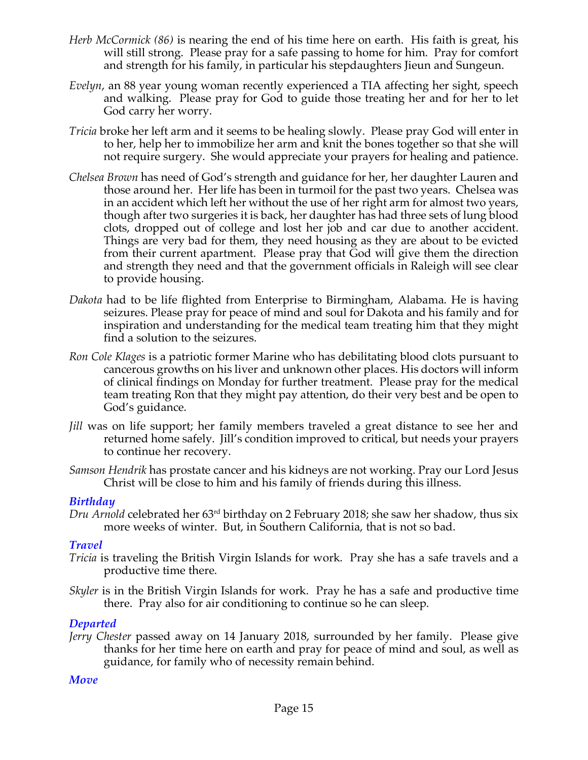- *Herb McCormick (86)* is nearing the end of his time here on earth. His faith is great, his will still strong. Please pray for a safe passing to home for him. Pray for comfort and strength for his family, in particular his stepdaughters Jieun and Sungeun.
- *Evelyn*, an 88 year young woman recently experienced a TIA affecting her sight, speech and walking. Please pray for God to guide those treating her and for her to let God carry her worry.
- *Tricia* broke her left arm and it seems to be healing slowly. Please pray God will enter in to her, help her to immobilize her arm and knit the bones together so that she will not require surgery. She would appreciate your prayers for healing and patience.
- *Chelsea Brown* has need of God's strength and guidance for her, her daughter Lauren and those around her. Her life has been in turmoil for the past two years. Chelsea was in an accident which left her without the use of her right arm for almost two years, though after two surgeries it is back, her daughter has had three sets of lung blood clots, dropped out of college and lost her job and car due to another accident. Things are very bad for them, they need housing as they are about to be evicted from their current apartment. Please pray that God will give them the direction and strength they need and that the government officials in Raleigh will see clear to provide housing.
- *Dakota* had to be life flighted from Enterprise to Birmingham, Alabama. He is having seizures. Please pray for peace of mind and soul for Dakota and his family and for inspiration and understanding for the medical team treating him that they might find a solution to the seizures.
- *Ron Cole Klages* is a patriotic former Marine who has debilitating blood clots pursuant to cancerous growths on his liver and unknown other places. His doctors will inform of clinical findings on Monday for further treatment. Please pray for the medical team treating Ron that they might pay attention, do their very best and be open to God's guidance.
- *Jill* was on life support; her family members traveled a great distance to see her and returned home safely. Jill's condition improved to critical, but needs your prayers to continue her recovery.
- *Samson Hendrik* has prostate cancer and his kidneys are not working. Pray our Lord Jesus Christ will be close to him and his family of friends during this illness.

#### *Birthday*

*Dru Arnold* celebrated her 63rd birthday on 2 February 2018; she saw her shadow, thus six more weeks of winter. But, in Southern California, that is not so bad.

#### *Travel*

- *Tricia* is traveling the British Virgin Islands for work. Pray she has a safe travels and a productive time there.
- *Skyler* is in the British Virgin Islands for work. Pray he has a safe and productive time there. Pray also for air conditioning to continue so he can sleep.

## *Departed*

*Jerry Chester* passed away on 14 January 2018, surrounded by her family. Please give thanks for her time here on earth and pray for peace of mind and soul, as well as guidance, for family who of necessity remain behind.

## *Move*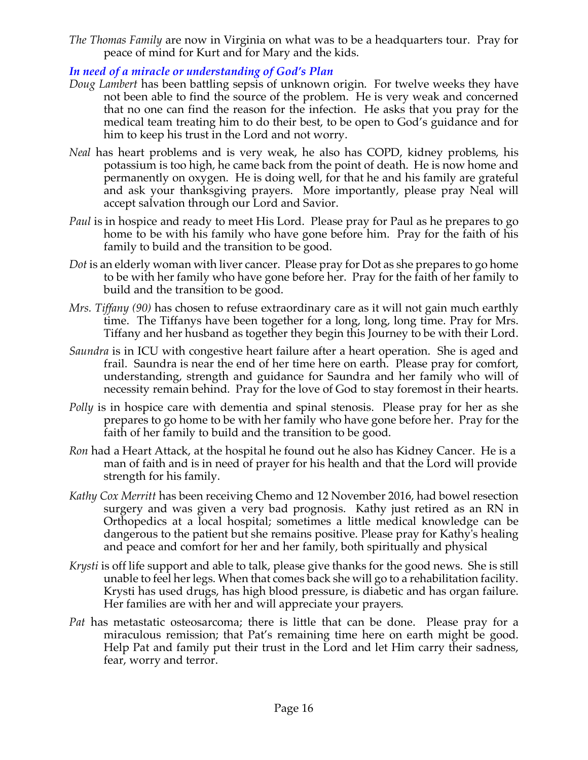*The Thomas Family* are now in Virginia on what was to be a headquarters tour. Pray for peace of mind for Kurt and for Mary and the kids.

*In need of a miracle or understanding of God's Plan*

- *Doug Lambert* has been battling sepsis of unknown origin. For twelve weeks they have not been able to find the source of the problem. He is very weak and concerned that no one can find the reason for the infection. He asks that you pray for the medical team treating him to do their best, to be open to God's guidance and for him to keep his trust in the Lord and not worry.
- *Neal* has heart problems and is very weak, he also has COPD, kidney problems, his potassium is too high, he came back from the point of death. He is now home and permanently on oxygen. He is doing well, for that he and his family are grateful and ask your thanksgiving prayers. More importantly, please pray Neal will accept salvation through our Lord and Savior.
- *Paul* is in hospice and ready to meet His Lord. Please pray for Paul as he prepares to go home to be with his family who have gone before him. Pray for the faith of his family to build and the transition to be good.
- *Dot* is an elderly woman with liver cancer. Please pray for Dot as she prepares to go home to be with her family who have gone before her. Pray for the faith of her family to build and the transition to be good.
- *Mrs. Tiffany (90)* has chosen to refuse extraordinary care as it will not gain much earthly time. The Tiffanys have been together for a long, long, long time. Pray for Mrs. Tiffany and her husband as together they begin this Journey to be with their Lord.
- *Saundra* is in ICU with congestive heart failure after a heart operation. She is aged and frail. Saundra is near the end of her time here on earth. Please pray for comfort, understanding, strength and guidance for Saundra and her family who will of necessity remain behind. Pray for the love of God to stay foremost in their hearts.
- *Polly* is in hospice care with dementia and spinal stenosis. Please pray for her as she prepares to go home to be with her family who have gone before her. Pray for the faith of her family to build and the transition to be good.
- *Ron* had a Heart Attack, at the hospital he found out he also has Kidney Cancer. He is a man of faith and is in need of prayer for his health and that the Lord will provide strength for his family.
- *Kathy Cox Merritt* has been receiving Chemo and 12 November 2016, had bowel resection surgery and was given a very bad prognosis. Kathy just retired as an RN in Orthopedics at a local hospital; sometimes a little medical knowledge can be dangerous to the patient but she remains positive. Please pray for Kathy's healing and peace and comfort for her and her family, both spiritually and physical
- *Krysti* is off life support and able to talk, please give thanks for the good news. She is still unable to feel her legs. When that comes back she will go to a rehabilitation facility. Krysti has used drugs, has high blood pressure, is diabetic and has organ failure. Her families are with her and will appreciate your prayers.
- *Pat* has metastatic osteosarcoma; there is little that can be done. Please pray for a miraculous remission; that Pat's remaining time here on earth might be good. Help Pat and family put their trust in the Lord and let Him carry their sadness, fear, worry and terror.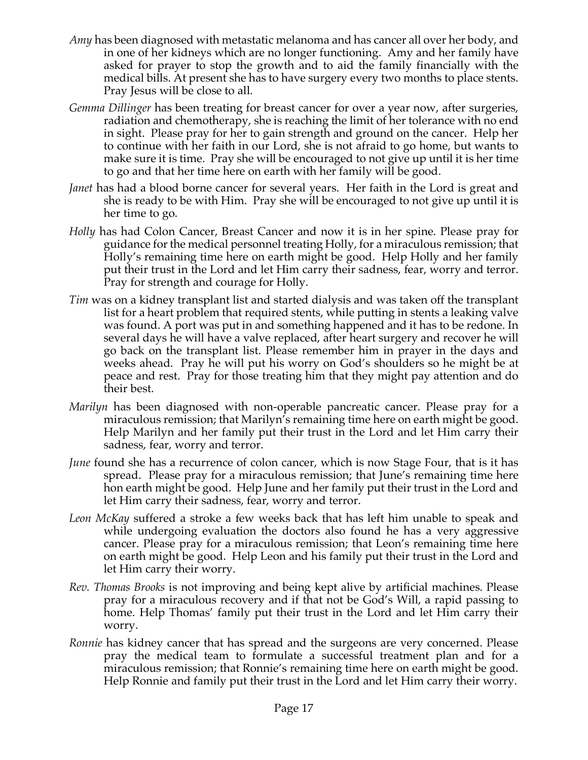- *Amy* has been diagnosed with metastatic melanoma and has cancer all over her body, and in one of her kidneys which are no longer functioning. Amy and her family have asked for prayer to stop the growth and to aid the family financially with the medical bills. At present she has to have surgery every two months to place stents. Pray Jesus will be close to all.
- *Gemma Dillinger* has been treating for breast cancer for over a year now, after surgeries, radiation and chemotherapy, she is reaching the limit of her tolerance with no end in sight. Please pray for her to gain strength and ground on the cancer. Help her to continue with her faith in our Lord, she is not afraid to go home, but wants to make sure it is time. Pray she will be encouraged to not give up until it is her time to go and that her time here on earth with her family will be good.
- *Janet* has had a blood borne cancer for several years. Her faith in the Lord is great and she is ready to be with Him. Pray she will be encouraged to not give up until it is her time to go.
- *Holly* has had Colon Cancer, Breast Cancer and now it is in her spine. Please pray for guidance for the medical personnel treating Holly, for a miraculous remission; that Holly's remaining time here on earth might be good. Help Holly and her family put their trust in the Lord and let Him carry their sadness, fear, worry and terror. Pray for strength and courage for Holly.
- *Tim* was on a kidney transplant list and started dialysis and was taken off the transplant list for a heart problem that required stents, while putting in stents a leaking valve was found. A port was put in and something happened and it has to be redone. In several days he will have a valve replaced, after heart surgery and recover he will go back on the transplant list. Please remember him in prayer in the days and weeks ahead. Pray he will put his worry on God's shoulders so he might be at peace and rest. Pray for those treating him that they might pay attention and do their best.
- *Marilyn* has been diagnosed with non-operable pancreatic cancer. Please pray for a miraculous remission; that Marilyn's remaining time here on earth might be good. Help Marilyn and her family put their trust in the Lord and let Him carry their sadness, fear, worry and terror.
- *June* found she has a recurrence of colon cancer, which is now Stage Four, that is it has spread. Please pray for a miraculous remission; that June's remaining time here hon earth might be good. Help June and her family put their trust in the Lord and let Him carry their sadness, fear, worry and terror.
- *Leon McKay* suffered a stroke a few weeks back that has left him unable to speak and while undergoing evaluation the doctors also found he has a very aggressive cancer. Please pray for a miraculous remission; that Leon's remaining time here on earth might be good. Help Leon and his family put their trust in the Lord and let Him carry their worry.
- *Rev. Thomas Brooks* is not improving and being kept alive by artificial machines. Please pray for a miraculous recovery and if that not be God's Will, a rapid passing to home. Help Thomas' family put their trust in the Lord and let Him carry their worry.
- *Ronnie* has kidney cancer that has spread and the surgeons are very concerned. Please pray the medical team to formulate a successful treatment plan and for a miraculous remission; that Ronnie's remaining time here on earth might be good. Help Ronnie and family put their trust in the Lord and let Him carry their worry.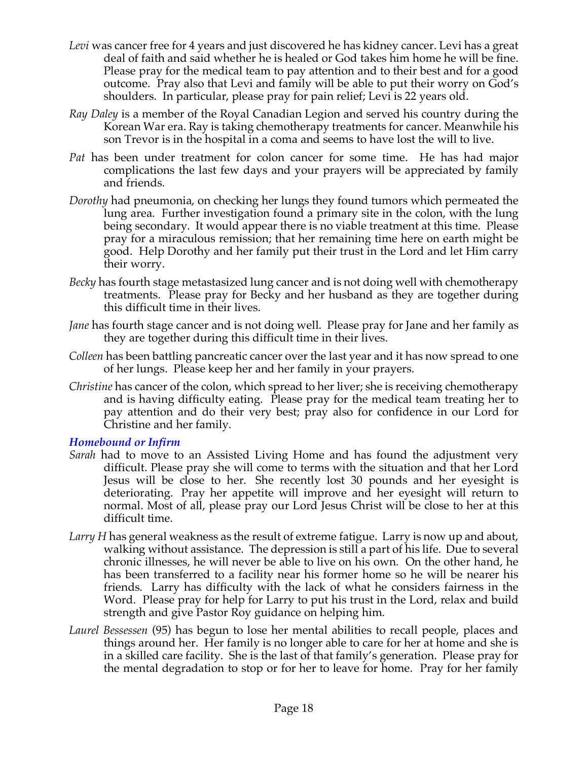- *Levi* was cancer free for 4 years and just discovered he has kidney cancer. Levi has a great deal of faith and said whether he is healed or God takes him home he will be fine. Please pray for the medical team to pay attention and to their best and for a good outcome. Pray also that Levi and family will be able to put their worry on God's shoulders. In particular, please pray for pain relief; Levi is 22 years old.
- *Ray Daley* is a member of the Royal Canadian Legion and served his country during the Korean War era. Ray is taking chemotherapy treatments for cancer. Meanwhile his son Trevor is in the hospital in a coma and seems to have lost the will to live.
- *Pat* has been under treatment for colon cancer for some time. He has had major complications the last few days and your prayers will be appreciated by family and friends.
- *Dorothy* had pneumonia, on checking her lungs they found tumors which permeated the lung area. Further investigation found a primary site in the colon, with the lung being secondary. It would appear there is no viable treatment at this time. Please pray for a miraculous remission; that her remaining time here on earth might be good. Help Dorothy and her family put their trust in the Lord and let Him carry their worry.
- *Becky* has fourth stage metastasized lung cancer and is not doing well with chemotherapy treatments. Please pray for Becky and her husband as they are together during this difficult time in their lives.
- *Jane* has fourth stage cancer and is not doing well. Please pray for Jane and her family as they are together during this difficult time in their lives.
- *Colleen* has been battling pancreatic cancer over the last year and it has now spread to one of her lungs. Please keep her and her family in your prayers.
- *Christine* has cancer of the colon, which spread to her liver; she is receiving chemotherapy and is having difficulty eating. Please pray for the medical team treating her to pay attention and do their very best; pray also for confidence in our Lord for Christine and her family.

#### *Homebound or Infirm*

- *Sarah* had to move to an Assisted Living Home and has found the adjustment very difficult. Please pray she will come to terms with the situation and that her Lord Jesus will be close to her. She recently lost 30 pounds and her eyesight is deteriorating. Pray her appetite will improve and her eyesight will return to normal. Most of all, please pray our Lord Jesus Christ will be close to her at this difficult time.
- *Larry H* has general weakness as the result of extreme fatigue. Larry is now up and about, walking without assistance. The depression is still a part of his life. Due to several chronic illnesses, he will never be able to live on his own. On the other hand, he has been transferred to a facility near his former home so he will be nearer his friends. Larry has difficulty with the lack of what he considers fairness in the Word. Please pray for help for Larry to put his trust in the Lord, relax and build strength and give Pastor Roy guidance on helping him.
- *Laurel Bessessen* (95) has begun to lose her mental abilities to recall people, places and things around her. Her family is no longer able to care for her at home and she is in a skilled care facility. She is the last of that family's generation. Please pray for the mental degradation to stop or for her to leave for home. Pray for her family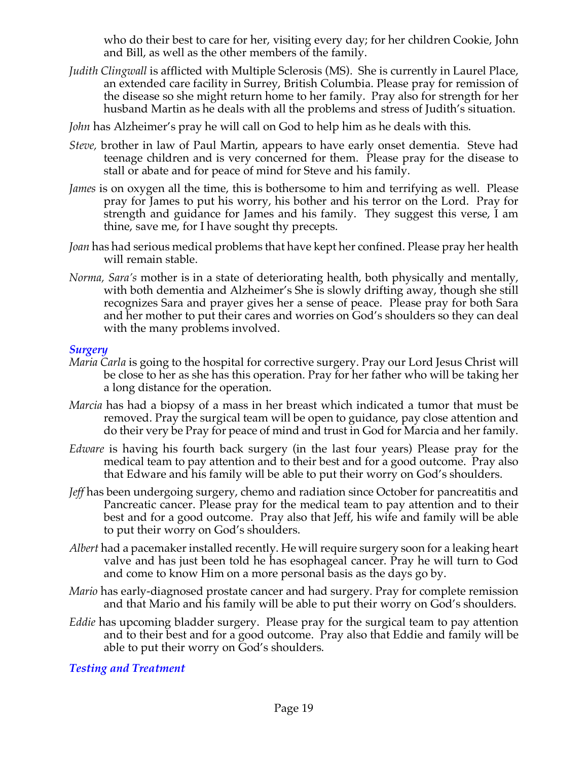who do their best to care for her, visiting every day; for her children Cookie, John and Bill, as well as the other members of the family.

*Judith Clingwall* is afflicted with Multiple Sclerosis (MS). She is currently in Laurel Place, an extended care facility in Surrey, British Columbia. Please pray for remission of the disease so she might return home to her family. Pray also for strength for her husband Martin as he deals with all the problems and stress of Judith's situation.

*John* has Alzheimer's pray he will call on God to help him as he deals with this.

- *Steve,* brother in law of Paul Martin, appears to have early onset dementia. Steve had teenage children and is very concerned for them. Please pray for the disease to stall or abate and for peace of mind for Steve and his family.
- *James* is on oxygen all the time, this is bothersome to him and terrifying as well. Please pray for James to put his worry, his bother and his terror on the Lord. Pray for strength and guidance for James and his family. They suggest this verse, I am thine, save me, for I have sought thy precepts.
- *Joan* has had serious medical problems that have kept her confined. Please pray her health will remain stable.
- *Norma, Sara's* mother is in a state of deteriorating health, both physically and mentally, with both dementia and Alzheimer's She is slowly drifting away, though she still recognizes Sara and prayer gives her a sense of peace. Please pray for both Sara and her mother to put their cares and worries on God's shoulders so they can deal with the many problems involved.

#### *Surgery*

- *Maria Carla* is going to the hospital for corrective surgery. Pray our Lord Jesus Christ will be close to her as she has this operation. Pray for her father who will be taking her a long distance for the operation.
- *Marcia* has had a biopsy of a mass in her breast which indicated a tumor that must be removed. Pray the surgical team will be open to guidance, pay close attention and do their very be Pray for peace of mind and trust in God for Marcia and her family.
- *Edware* is having his fourth back surgery (in the last four years) Please pray for the medical team to pay attention and to their best and for a good outcome. Pray also that Edware and his family will be able to put their worry on God's shoulders.
- *Jeff* has been undergoing surgery, chemo and radiation since October for pancreatitis and Pancreatic cancer. Please pray for the medical team to pay attention and to their best and for a good outcome. Pray also that Jeff, his wife and family will be able to put their worry on God's shoulders.
- *Albert* had a pacemaker installed recently. He will require surgery soon for a leaking heart valve and has just been told he has esophageal cancer. Pray he will turn to God and come to know Him on a more personal basis as the days go by.
- *Mario* has early-diagnosed prostate cancer and had surgery. Pray for complete remission and that Mario and his family will be able to put their worry on God's shoulders.
- *Eddie* has upcoming bladder surgery. Please pray for the surgical team to pay attention and to their best and for a good outcome. Pray also that Eddie and family will be able to put their worry on God's shoulders.

*Testing and Treatment*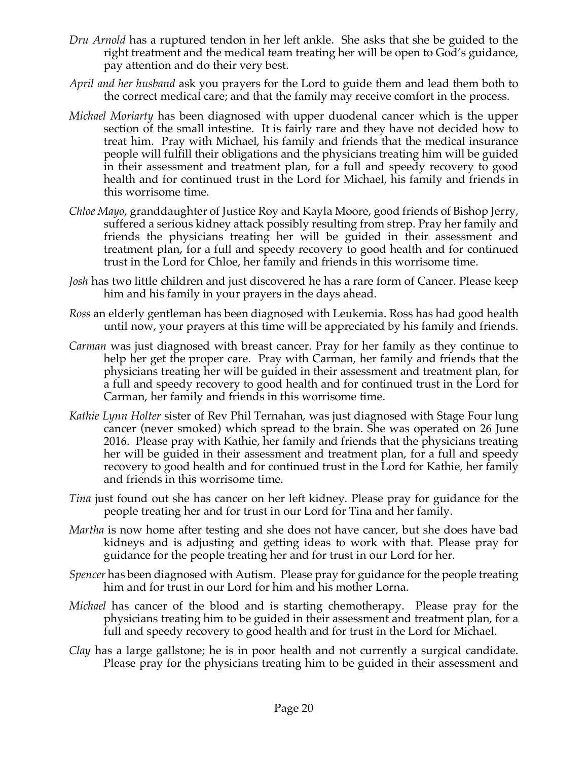- *Dru Arnold* has a ruptured tendon in her left ankle. She asks that she be guided to the right treatment and the medical team treating her will be open to God's guidance, pay attention and do their very best.
- *April and her husband* ask you prayers for the Lord to guide them and lead them both to the correct medical care; and that the family may receive comfort in the process.
- *Michael Moriarty* has been diagnosed with upper duodenal cancer which is the upper section of the small intestine. It is fairly rare and they have not decided how to treat him. Pray with Michael, his family and friends that the medical insurance people will fulfill their obligations and the physicians treating him will be guided in their assessment and treatment plan, for a full and speedy recovery to good health and for continued trust in the Lord for Michael, his family and friends in this worrisome time.
- *Chloe Mayo*, granddaughter of Justice Roy and Kayla Moore, good friends of Bishop Jerry, suffered a serious kidney attack possibly resulting from strep. Pray her family and friends the physicians treating her will be guided in their assessment and treatment plan, for a full and speedy recovery to good health and for continued trust in the Lord for Chloe, her family and friends in this worrisome time.
- *Josh* has two little children and just discovered he has a rare form of Cancer. Please keep him and his family in your prayers in the days ahead.
- *Ross* an elderly gentleman has been diagnosed with Leukemia. Ross has had good health until now, your prayers at this time will be appreciated by his family and friends.
- *Carman* was just diagnosed with breast cancer. Pray for her family as they continue to help her get the proper care. Pray with Carman, her family and friends that the physicians treating her will be guided in their assessment and treatment plan, for a full and speedy recovery to good health and for continued trust in the Lord for Carman, her family and friends in this worrisome time.
- *Kathie Lynn Holter* sister of Rev Phil Ternahan, was just diagnosed with Stage Four lung cancer (never smoked) which spread to the brain. She was operated on 26 June 2016. Please pray with Kathie, her family and friends that the physicians treating her will be guided in their assessment and treatment plan, for a full and speedy recovery to good health and for continued trust in the Lord for Kathie, her family and friends in this worrisome time.
- *Tina* just found out she has cancer on her left kidney. Please pray for guidance for the people treating her and for trust in our Lord for Tina and her family.
- *Martha* is now home after testing and she does not have cancer, but she does have bad kidneys and is adjusting and getting ideas to work with that. Please pray for guidance for the people treating her and for trust in our Lord for her.
- *Spencer* has been diagnosed with Autism. Please pray for guidance for the people treating him and for trust in our Lord for him and his mother Lorna.
- *Michael* has cancer of the blood and is starting chemotherapy. Please pray for the physicians treating him to be guided in their assessment and treatment plan, for a full and speedy recovery to good health and for trust in the Lord for Michael.
- *Clay* has a large gallstone; he is in poor health and not currently a surgical candidate. Please pray for the physicians treating him to be guided in their assessment and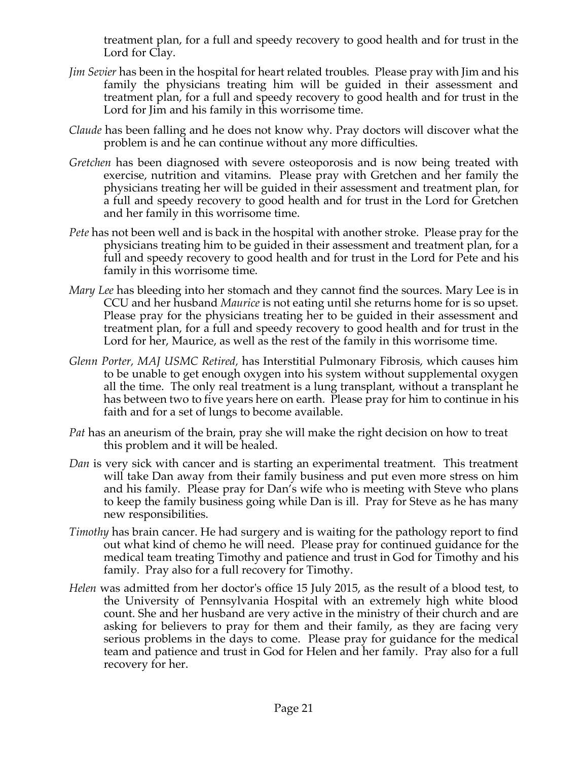treatment plan, for a full and speedy recovery to good health and for trust in the Lord for Clay.

- *Jim Sevier* has been in the hospital for heart related troubles. Please pray with Jim and his family the physicians treating him will be guided in their assessment and treatment plan, for a full and speedy recovery to good health and for trust in the Lord for Jim and his family in this worrisome time.
- *Claude* has been falling and he does not know why. Pray doctors will discover what the problem is and he can continue without any more difficulties.
- *Gretchen* has been diagnosed with severe osteoporosis and is now being treated with exercise, nutrition and vitamins. Please pray with Gretchen and her family the physicians treating her will be guided in their assessment and treatment plan, for a full and speedy recovery to good health and for trust in the Lord for Gretchen and her family in this worrisome time.
- *Pete* has not been well and is back in the hospital with another stroke. Please pray for the physicians treating him to be guided in their assessment and treatment plan, for a full and speedy recovery to good health and for trust in the Lord for Pete and his family in this worrisome time.
- *Mary Lee* has bleeding into her stomach and they cannot find the sources. Mary Lee is in CCU and her husband *Maurice* is not eating until she returns home for is so upset. Please pray for the physicians treating her to be guided in their assessment and treatment plan, for a full and speedy recovery to good health and for trust in the Lord for her, Maurice, as well as the rest of the family in this worrisome time.
- *Glenn Porter, MAJ USMC Retired,* has Interstitial Pulmonary Fibrosis, which causes him to be unable to get enough oxygen into his system without supplemental oxygen all the time. The only real treatment is a lung transplant, without a transplant he has between two to five years here on earth. Please pray for him to continue in his faith and for a set of lungs to become available.
- *Pat* has an aneurism of the brain, pray she will make the right decision on how to treat this problem and it will be healed.
- *Dan* is very sick with cancer and is starting an experimental treatment. This treatment will take Dan away from their family business and put even more stress on him and his family. Please pray for Dan's wife who is meeting with Steve who plans to keep the family business going while Dan is ill. Pray for Steve as he has many new responsibilities.
- *Timothy* has brain cancer. He had surgery and is waiting for the pathology report to find out what kind of chemo he will need. Please pray for continued guidance for the medical team treating Timothy and patience and trust in God for Timothy and his family. Pray also for a full recovery for Timothy.
- *Helen* was admitted from her doctor's office 15 July 2015, as the result of a blood test, to the University of Pennsylvania Hospital with an extremely high white blood count. She and her husband are very active in the ministry of their church and are asking for believers to pray for them and their family, as they are facing very serious problems in the days to come. Please pray for guidance for the medical team and patience and trust in God for Helen and her family. Pray also for a full recovery for her.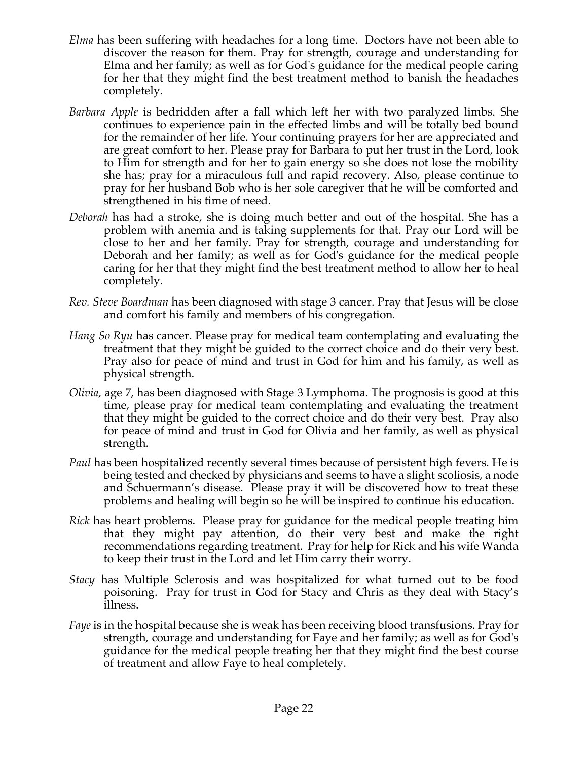- *Elma* has been suffering with headaches for a long time. Doctors have not been able to discover the reason for them. Pray for strength, courage and understanding for Elma and her family; as well as for God's guidance for the medical people caring for her that they might find the best treatment method to banish the headaches completely.
- *Barbara Apple* is bedridden after a fall which left her with two paralyzed limbs. She continues to experience pain in the effected limbs and will be totally bed bound for the remainder of her life. Your continuing prayers for her are appreciated and are great comfort to her. Please pray for Barbara to put her trust in the Lord, look to Him for strength and for her to gain energy so she does not lose the mobility she has; pray for a miraculous full and rapid recovery. Also, please continue to pray for her husband Bob who is her sole caregiver that he will be comforted and strengthened in his time of need.
- *Deborah* has had a stroke, she is doing much better and out of the hospital. She has a problem with anemia and is taking supplements for that. Pray our Lord will be close to her and her family. Pray for strength, courage and understanding for Deborah and her family; as well as for God's guidance for the medical people caring for her that they might find the best treatment method to allow her to heal completely.
- *Rev. Steve Boardman* has been diagnosed with stage 3 cancer. Pray that Jesus will be close and comfort his family and members of his congregation*.*
- *Hang So Ryu* has cancer. Please pray for medical team contemplating and evaluating the treatment that they might be guided to the correct choice and do their very best. Pray also for peace of mind and trust in God for him and his family, as well as physical strength.
- *Olivia,* age 7, has been diagnosed with Stage 3 Lymphoma. The prognosis is good at this time, please pray for medical team contemplating and evaluating the treatment that they might be guided to the correct choice and do their very best. Pray also for peace of mind and trust in God for Olivia and her family, as well as physical strength.
- *Paul* has been hospitalized recently several times because of persistent high fevers. He is being tested and checked by physicians and seems to have a slight scoliosis, a node and Schuermann's disease. Please pray it will be discovered how to treat these problems and healing will begin so he will be inspired to continue his education.
- *Rick* has heart problems. Please pray for guidance for the medical people treating him that they might pay attention, do their very best and make the right recommendations regarding treatment. Pray for help for Rick and his wife Wanda to keep their trust in the Lord and let Him carry their worry.
- *Stacy* has Multiple Sclerosis and was hospitalized for what turned out to be food poisoning. Pray for trust in God for Stacy and Chris as they deal with Stacy's illness.
- *Faye* is in the hospital because she is weak has been receiving blood transfusions. Pray for strength, courage and understanding for Faye and her family; as well as for God's guidance for the medical people treating her that they might find the best course of treatment and allow Faye to heal completely.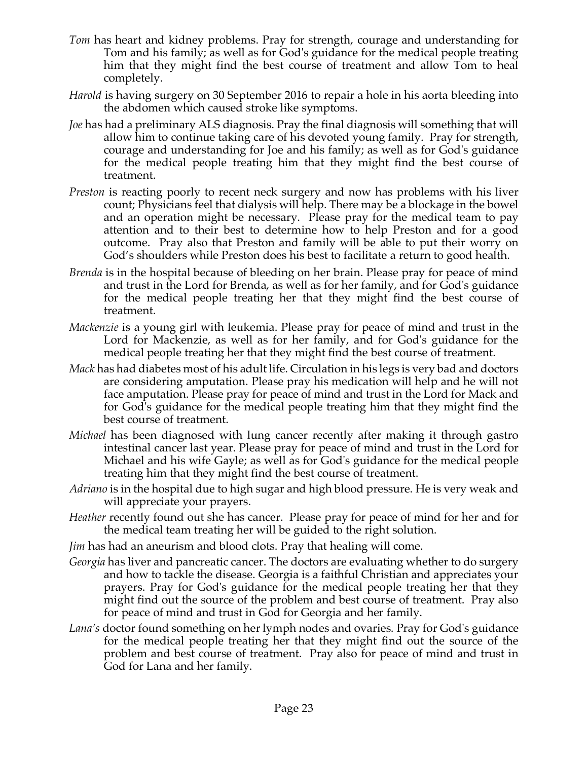- *Tom* has heart and kidney problems. Pray for strength, courage and understanding for Tom and his family; as well as for God's guidance for the medical people treating him that they might find the best course of treatment and allow Tom to heal completely.
- *Harold* is having surgery on 30 September 2016 to repair a hole in his aorta bleeding into the abdomen which caused stroke like symptoms.
- *Joe* has had a preliminary ALS diagnosis. Pray the final diagnosis will something that will allow him to continue taking care of his devoted young family. Pray for strength, courage and understanding for Joe and his family; as well as for God's guidance for the medical people treating him that they might find the best course of treatment.
- *Preston* is reacting poorly to recent neck surgery and now has problems with his liver count; Physicians feel that dialysis will help. There may be a blockage in the bowel and an operation might be necessary. Please pray for the medical team to pay attention and to their best to determine how to help Preston and for a good outcome. Pray also that Preston and family will be able to put their worry on God's shoulders while Preston does his best to facilitate a return to good health.
- *Brenda* is in the hospital because of bleeding on her brain. Please pray for peace of mind and trust in the Lord for Brenda, as well as for her family, and for God's guidance for the medical people treating her that they might find the best course of treatment.
- *Mackenzie* is a young girl with leukemia. Please pray for peace of mind and trust in the Lord for Mackenzie, as well as for her family, and for God's guidance for the medical people treating her that they might find the best course of treatment.
- *Mack* has had diabetes most of his adult life. Circulation in his legs is very bad and doctors are considering amputation. Please pray his medication will help and he will not face amputation. Please pray for peace of mind and trust in the Lord for Mack and for God's guidance for the medical people treating him that they might find the best course of treatment.
- *Michael* has been diagnosed with lung cancer recently after making it through gastro intestinal cancer last year. Please pray for peace of mind and trust in the Lord for Michael and his wife Gayle; as well as for God's guidance for the medical people treating him that they might find the best course of treatment.
- *Adriano* is in the hospital due to high sugar and high blood pressure. He is very weak and will appreciate your prayers.
- *Heather* recently found out she has cancer. Please pray for peace of mind for her and for the medical team treating her will be guided to the right solution.
- *Jim* has had an aneurism and blood clots. Pray that healing will come.
- *Georgia* has liver and pancreatic cancer. The doctors are evaluating whether to do surgery and how to tackle the disease. Georgia is a faithful Christian and appreciates your prayers. Pray for God's guidance for the medical people treating her that they might find out the source of the problem and best course of treatment. Pray also for peace of mind and trust in God for Georgia and her family.
- *Lana's* doctor found something on her lymph nodes and ovaries. Pray for God's guidance for the medical people treating her that they might find out the source of the problem and best course of treatment. Pray also for peace of mind and trust in God for Lana and her family.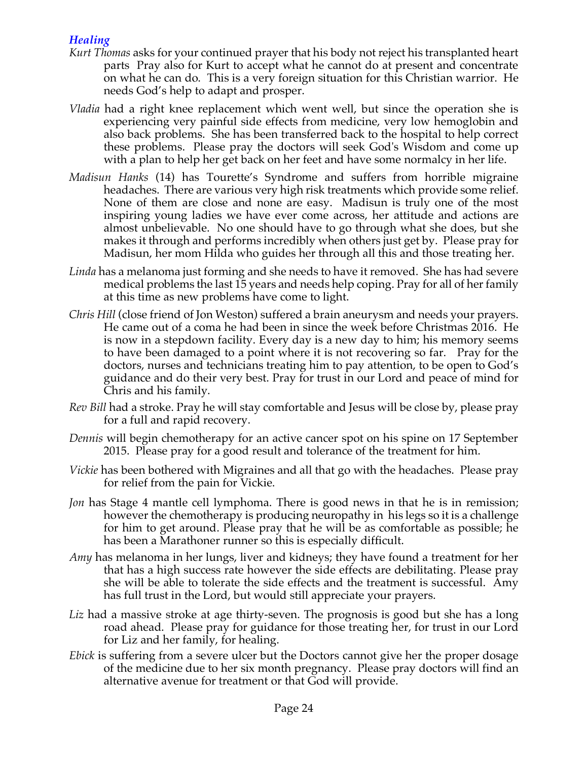# *Healing*

- *Kurt Thomas* asks for your continued prayer that his body not reject his transplanted heart parts Pray also for Kurt to accept what he cannot do at present and concentrate on what he can do. This is a very foreign situation for this Christian warrior. He needs God's help to adapt and prosper.
- *Vladia* had a right knee replacement which went well, but since the operation she is experiencing very painful side effects from medicine, very low hemoglobin and also back problems. She has been transferred back to the hospital to help correct these problems. Please pray the doctors will seek God's Wisdom and come up with a plan to help her get back on her feet and have some normalcy in her life.
- *Madisun Hanks* (14) has Tourette's Syndrome and suffers from horrible migraine headaches. There are various very high risk treatments which provide some relief. None of them are close and none are easy. Madisun is truly one of the most inspiring young ladies we have ever come across, her attitude and actions are almost unbelievable. No one should have to go through what she does, but she makes it through and performs incredibly when others just get by. Please pray for Madisun, her mom Hilda who guides her through all this and those treating her.
- *Linda* has a melanoma just forming and she needs to have it removed. She has had severe medical problems the last 15 years and needs help coping. Pray for all of her family at this time as new problems have come to light.
- *Chris Hill* (close friend of Jon Weston) suffered a brain aneurysm and needs your prayers. He came out of a coma he had been in since the week before Christmas 2016. He is now in a stepdown facility. Every day is a new day to him; his memory seems to have been damaged to a point where it is not recovering so far. Pray for the doctors, nurses and technicians treating him to pay attention, to be open to God's guidance and do their very best. Pray for trust in our Lord and peace of mind for Chris and his family.
- *Rev Bill* had a stroke. Pray he will stay comfortable and Jesus will be close by, please pray for a full and rapid recovery.
- *Dennis* will begin chemotherapy for an active cancer spot on his spine on 17 September 2015. Please pray for a good result and tolerance of the treatment for him.
- *Vickie* has been bothered with Migraines and all that go with the headaches. Please pray for relief from the pain for Vickie.
- *Jon* has Stage 4 mantle cell lymphoma. There is good news in that he is in remission; however the chemotherapy is producing neuropathy in his legs so it is a challenge for him to get around. Please pray that he will be as comfortable as possible; he has been a Marathoner runner so this is especially difficult.
- *Amy* has melanoma in her lungs, liver and kidneys; they have found a treatment for her that has a high success rate however the side effects are debilitating. Please pray she will be able to tolerate the side effects and the treatment is successful. Amy has full trust in the Lord, but would still appreciate your prayers.
- Liz had a massive stroke at age thirty-seven. The prognosis is good but she has a long road ahead. Please pray for guidance for those treating her, for trust in our Lord for Liz and her family, for healing.
- *Ebick* is suffering from a severe ulcer but the Doctors cannot give her the proper dosage of the medicine due to her six month pregnancy. Please pray doctors will find an alternative avenue for treatment or that God will provide.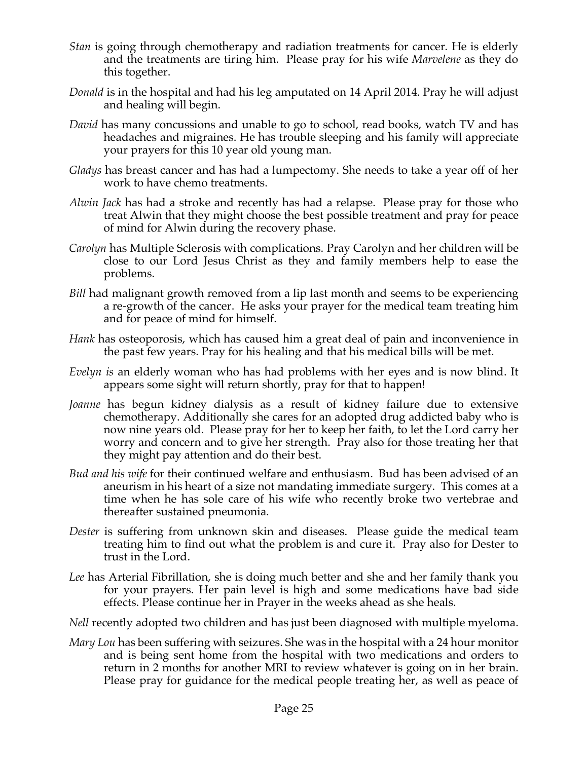- *Stan* is going through chemotherapy and radiation treatments for cancer. He is elderly and the treatments are tiring him. Please pray for his wife *Marvelene* as they do this together.
- *Donald* is in the hospital and had his leg amputated on 14 April 2014. Pray he will adjust and healing will begin.
- *David* has many concussions and unable to go to school, read books, watch TV and has headaches and migraines. He has trouble sleeping and his family will appreciate your prayers for this 10 year old young man.
- *Gladys* has breast cancer and has had a lumpectomy. She needs to take a year off of her work to have chemo treatments.
- *Alwin Jack* has had a stroke and recently has had a relapse. Please pray for those who treat Alwin that they might choose the best possible treatment and pray for peace of mind for Alwin during the recovery phase.
- *Carolyn* has Multiple Sclerosis with complications. Pray Carolyn and her children will be close to our Lord Jesus Christ as they and family members help to ease the problems.
- *Bill* had malignant growth removed from a lip last month and seems to be experiencing a re-growth of the cancer. He asks your prayer for the medical team treating him and for peace of mind for himself.
- *Hank* has osteoporosis, which has caused him a great deal of pain and inconvenience in the past few years. Pray for his healing and that his medical bills will be met.
- *Evelyn is* an elderly woman who has had problems with her eyes and is now blind. It appears some sight will return shortly, pray for that to happen!
- *Joanne* has begun kidney dialysis as a result of kidney failure due to extensive chemotherapy. Additionally she cares for an adopted drug addicted baby who is now nine years old. Please pray for her to keep her faith, to let the Lord carry her worry and concern and to give her strength. Pray also for those treating her that they might pay attention and do their best.
- *Bud and his wife* for their continued welfare and enthusiasm. Bud has been advised of an aneurism in his heart of a size not mandating immediate surgery. This comes at a time when he has sole care of his wife who recently broke two vertebrae and thereafter sustained pneumonia.
- *Dester* is suffering from unknown skin and diseases. Please guide the medical team treating him to find out what the problem is and cure it. Pray also for Dester to trust in the Lord.
- *Lee* has Arterial Fibrillation, she is doing much better and she and her family thank you for your prayers. Her pain level is high and some medications have bad side effects. Please continue her in Prayer in the weeks ahead as she heals.
- *Nell* recently adopted two children and has just been diagnosed with multiple myeloma.
- *Mary Lou* has been suffering with seizures. She was in the hospital with a 24 hour monitor and is being sent home from the hospital with two medications and orders to return in 2 months for another MRI to review whatever is going on in her brain. Please pray for guidance for the medical people treating her, as well as peace of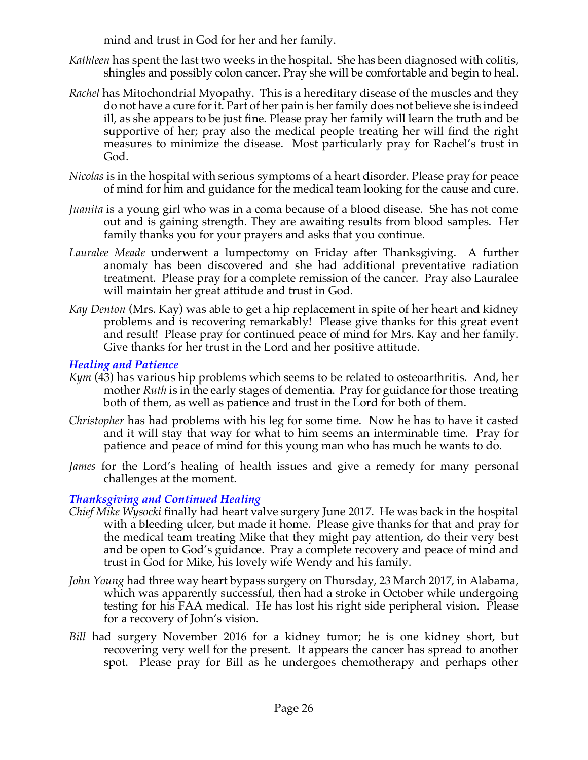mind and trust in God for her and her family.

- *Kathleen* has spent the last two weeks in the hospital. She has been diagnosed with colitis, shingles and possibly colon cancer. Pray she will be comfortable and begin to heal.
- *Rachel* has Mitochondrial Myopathy. This is a hereditary disease of the muscles and they do not have a cure for it. Part of her pain is her family does not believe she is indeed ill, as she appears to be just fine. Please pray her family will learn the truth and be supportive of her; pray also the medical people treating her will find the right measures to minimize the disease. Most particularly pray for Rachel's trust in God.
- *Nicolas* is in the hospital with serious symptoms of a heart disorder. Please pray for peace of mind for him and guidance for the medical team looking for the cause and cure.
- *Juanita* is a young girl who was in a coma because of a blood disease. She has not come out and is gaining strength. They are awaiting results from blood samples. Her family thanks you for your prayers and asks that you continue.
- *Lauralee Meade* underwent a lumpectomy on Friday after Thanksgiving. A further anomaly has been discovered and she had additional preventative radiation treatment. Please pray for a complete remission of the cancer. Pray also Lauralee will maintain her great attitude and trust in God.
- *Kay Denton* (Mrs. Kay) was able to get a hip replacement in spite of her heart and kidney problems and is recovering remarkably! Please give thanks for this great event and result! Please pray for continued peace of mind for Mrs. Kay and her family. Give thanks for her trust in the Lord and her positive attitude.

## *Healing and Patience*

- *Kym* (43) has various hip problems which seems to be related to osteoarthritis. And, her mother *Ruth* is in the early stages of dementia. Pray for guidance for those treating both of them, as well as patience and trust in the Lord for both of them.
- *Christopher* has had problems with his leg for some time. Now he has to have it casted and it will stay that way for what to him seems an interminable time. Pray for patience and peace of mind for this young man who has much he wants to do.
- *James* for the Lord's healing of health issues and give a remedy for many personal challenges at the moment.

# *Thanksgiving and Continued Healing*

- *Chief Mike Wysocki* finally had heart valve surgery June 2017. He was back in the hospital with a bleeding ulcer, but made it home. Please give thanks for that and pray for the medical team treating Mike that they might pay attention, do their very best and be open to God's guidance. Pray a complete recovery and peace of mind and trust in God for Mike, his lovely wife Wendy and his family.
- *John Young* had three way heart bypass surgery on Thursday, 23 March 2017, in Alabama, which was apparently successful, then had a stroke in October while undergoing testing for his FAA medical. He has lost his right side peripheral vision. Please for a recovery of John's vision.
- *Bill* had surgery November 2016 for a kidney tumor; he is one kidney short, but recovering very well for the present. It appears the cancer has spread to another spot. Please pray for Bill as he undergoes chemotherapy and perhaps other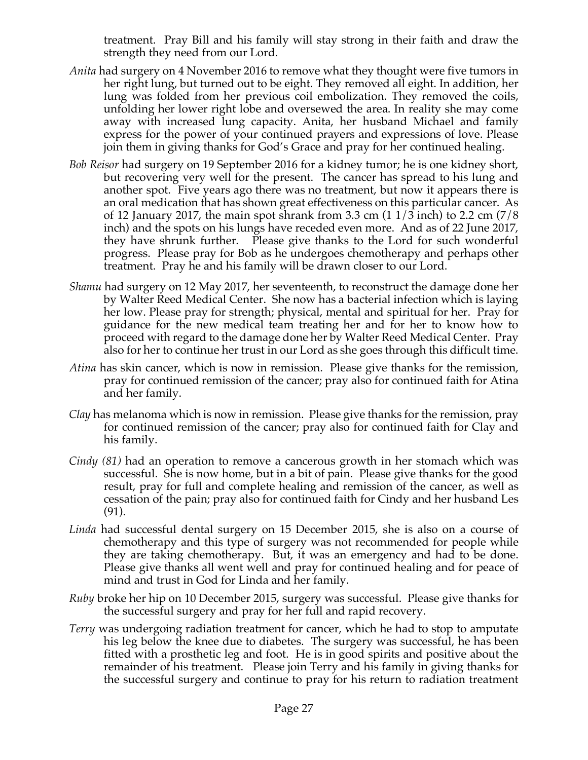treatment. Pray Bill and his family will stay strong in their faith and draw the strength they need from our Lord.

- *Anita* had surgery on 4 November 2016 to remove what they thought were five tumors in her right lung, but turned out to be eight. They removed all eight. In addition, her lung was folded from her previous coil embolization. They removed the coils, unfolding her lower right lobe and oversewed the area. In reality she may come away with increased lung capacity. Anita, her husband Michael and family express for the power of your continued prayers and expressions of love. Please join them in giving thanks for God's Grace and pray for her continued healing.
- *Bob Reisor* had surgery on 19 September 2016 for a kidney tumor; he is one kidney short, but recovering very well for the present. The cancer has spread to his lung and another spot. Five years ago there was no treatment, but now it appears there is an oral medication that has shown great effectiveness on this particular cancer. As of 12 January 2017, the main spot shrank from 3.3 cm  $(11/3 \text{ inch})$  to 2.2 cm  $(7/8 \text{ ft})$ inch) and the spots on his lungs have receded even more. And as of 22 June 2017, they have shrunk further. Please give thanks to the Lord for such wonderful progress. Please pray for Bob as he undergoes chemotherapy and perhaps other treatment. Pray he and his family will be drawn closer to our Lord.
- *Shamu* had surgery on 12 May 2017, her seventeenth, to reconstruct the damage done her by Walter Reed Medical Center. She now has a bacterial infection which is laying her low. Please pray for strength; physical, mental and spiritual for her. Pray for guidance for the new medical team treating her and for her to know how to proceed with regard to the damage done her by Walter Reed Medical Center. Pray also for her to continue her trust in our Lord as she goes through this difficult time.
- *Atina* has skin cancer, which is now in remission. Please give thanks for the remission, pray for continued remission of the cancer; pray also for continued faith for Atina and her family.
- *Clay* has melanoma which is now in remission. Please give thanks for the remission, pray for continued remission of the cancer; pray also for continued faith for Clay and his family.
- *Cindy (81)* had an operation to remove a cancerous growth in her stomach which was successful. She is now home, but in a bit of pain. Please give thanks for the good result, pray for full and complete healing and remission of the cancer, as well as cessation of the pain; pray also for continued faith for Cindy and her husband Les (91).
- *Linda* had successful dental surgery on 15 December 2015, she is also on a course of chemotherapy and this type of surgery was not recommended for people while they are taking chemotherapy. But, it was an emergency and had to be done. Please give thanks all went well and pray for continued healing and for peace of mind and trust in God for Linda and her family.
- *Ruby* broke her hip on 10 December 2015, surgery was successful. Please give thanks for the successful surgery and pray for her full and rapid recovery.
- *Terry* was undergoing radiation treatment for cancer, which he had to stop to amputate his leg below the knee due to diabetes. The surgery was successful, he has been fitted with a prosthetic leg and foot. He is in good spirits and positive about the remainder of his treatment. Please join Terry and his family in giving thanks for the successful surgery and continue to pray for his return to radiation treatment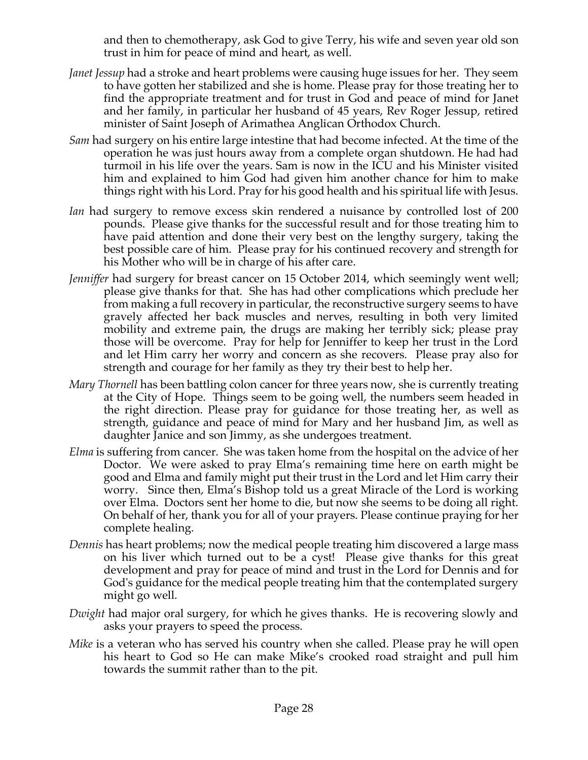and then to chemotherapy, ask God to give Terry, his wife and seven year old son trust in him for peace of mind and heart, as well.

- *Janet Jessup* had a stroke and heart problems were causing huge issues for her. They seem to have gotten her stabilized and she is home. Please pray for those treating her to find the appropriate treatment and for trust in God and peace of mind for Janet and her family, in particular her husband of 45 years, Rev Roger Jessup, retired minister of Saint Joseph of Arimathea Anglican Orthodox Church.
- *Sam* had surgery on his entire large intestine that had become infected. At the time of the operation he was just hours away from a complete organ shutdown. He had had turmoil in his life over the years. Sam is now in the ICU and his Minister visited him and explained to him God had given him another chance for him to make things right with his Lord. Pray for his good health and his spiritual life with Jesus.
- *Ian* had surgery to remove excess skin rendered a nuisance by controlled lost of 200 pounds. Please give thanks for the successful result and for those treating him to have paid attention and done their very best on the lengthy surgery, taking the best possible care of him. Please pray for his continued recovery and strength for his Mother who will be in charge of his after care.
- *Jenniffer* had surgery for breast cancer on 15 October 2014, which seemingly went well; please give thanks for that. She has had other complications which preclude her from making a full recovery in particular, the reconstructive surgery seems to have gravely affected her back muscles and nerves, resulting in both very limited mobility and extreme pain, the drugs are making her terribly sick; please pray those will be overcome. Pray for help for Jenniffer to keep her trust in the Lord and let Him carry her worry and concern as she recovers. Please pray also for strength and courage for her family as they try their best to help her.
- *Mary Thornell* has been battling colon cancer for three years now, she is currently treating at the City of Hope. Things seem to be going well, the numbers seem headed in the right direction. Please pray for guidance for those treating her, as well as strength, guidance and peace of mind for Mary and her husband Jim, as well as daughter Janice and son Jimmy, as she undergoes treatment.
- *Elma* is suffering from cancer. She was taken home from the hospital on the advice of her Doctor. We were asked to pray Elma's remaining time here on earth might be good and Elma and family might put their trust in the Lord and let Him carry their worry. Since then, Elma's Bishop told us a great Miracle of the Lord is working over Elma. Doctors sent her home to die, but now she seems to be doing all right. On behalf of her, thank you for all of your prayers. Please continue praying for her complete healing.
- *Dennis* has heart problems; now the medical people treating him discovered a large mass on his liver which turned out to be a cyst! Please give thanks for this great development and pray for peace of mind and trust in the Lord for Dennis and for God's guidance for the medical people treating him that the contemplated surgery might go well.
- *Dwight* had major oral surgery, for which he gives thanks. He is recovering slowly and asks your prayers to speed the process.
- *Mike* is a veteran who has served his country when she called. Please pray he will open his heart to God so He can make Mike's crooked road straight and pull him towards the summit rather than to the pit.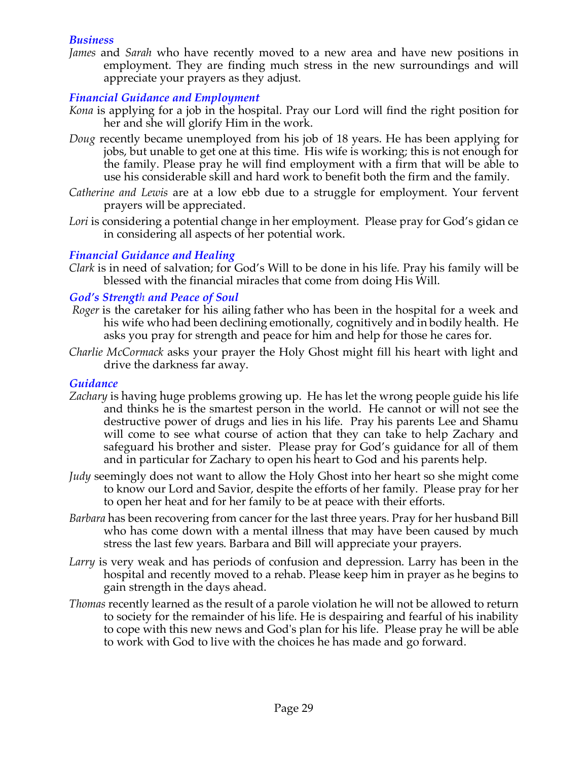#### *Business*

*James* and *Sarah* who have recently moved to a new area and have new positions in employment. They are finding much stress in the new surroundings and will appreciate your prayers as they adjust.

#### *Financial Guidance and Employment*

- *Kona* is applying for a job in the hospital. Pray our Lord will find the right position for her and she will glorify Him in the work.
- *Doug* recently became unemployed from his job of 18 years. He has been applying for jobs, but unable to get one at this time. His wife is working; this is not enough for the family. Please pray he will find employment with a firm that will be able to use his considerable skill and hard work to benefit both the firm and the family.
- *Catherine and Lewis* are at a low ebb due to a struggle for employment. Your fervent prayers will be appreciated.
- Lori is considering a potential change in her employment. Please pray for God's gidan ce in considering all aspects of her potential work.

## *Financial Guidance and Healing*

*Clark* is in need of salvation; for God's Will to be done in his life. Pray his family will be blessed with the financial miracles that come from doing His Will.

#### *God's Strength and Peace of Soul*

- *Roger* is the caretaker for his ailing father who has been in the hospital for a week and his wife who had been declining emotionally, cognitively and in bodily health. He asks you pray for strength and peace for him and help for those he cares for.
- *Charlie McCormack* asks your prayer the Holy Ghost might fill his heart with light and drive the darkness far away.

#### *Guidance*

- *Zachary* is having huge problems growing up. He has let the wrong people guide his life and thinks he is the smartest person in the world. He cannot or will not see the destructive power of drugs and lies in his life. Pray his parents Lee and Shamu will come to see what course of action that they can take to help Zachary and safeguard his brother and sister. Please pray for God's guidance for all of them and in particular for Zachary to open his heart to God and his parents help.
- *Judy* seemingly does not want to allow the Holy Ghost into her heart so she might come to know our Lord and Savior, despite the efforts of her family. Please pray for her to open her heat and for her family to be at peace with their efforts.
- *Barbara* has been recovering from cancer for the last three years. Pray for her husband Bill who has come down with a mental illness that may have been caused by much stress the last few years. Barbara and Bill will appreciate your prayers.
- *Larry* is very weak and has periods of confusion and depression. Larry has been in the hospital and recently moved to a rehab. Please keep him in prayer as he begins to gain strength in the days ahead.
- *Thomas* recently learned as the result of a parole violation he will not be allowed to return to society for the remainder of his life. He is despairing and fearful of his inability to cope with this new news and God's plan for his life. Please pray he will be able to work with God to live with the choices he has made and go forward.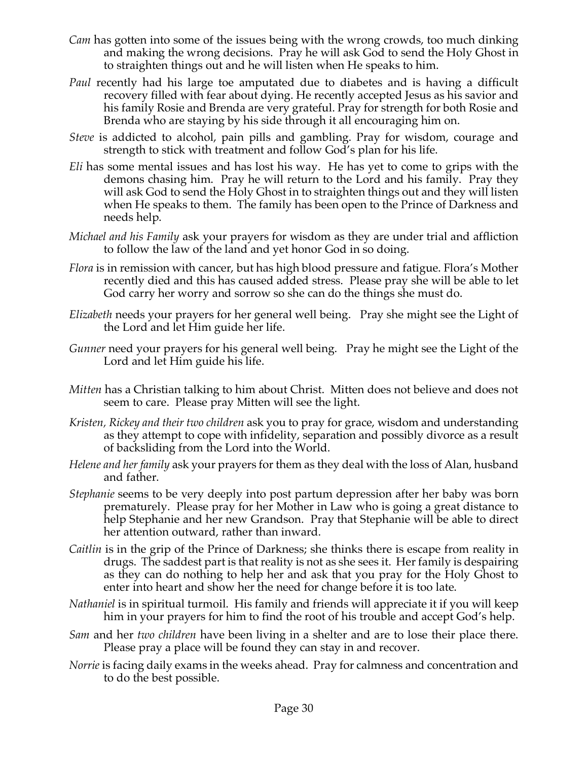- *Cam* has gotten into some of the issues being with the wrong crowds, too much dinking and making the wrong decisions. Pray he will ask God to send the Holy Ghost in to straighten things out and he will listen when He speaks to him.
- *Paul* recently had his large toe amputated due to diabetes and is having a difficult recovery filled with fear about dying. He recently accepted Jesus as his savior and his family Rosie and Brenda are very grateful. Pray for strength for both Rosie and Brenda who are staying by his side through it all encouraging him on.
- *Steve* is addicted to alcohol, pain pills and gambling. Pray for wisdom, courage and strength to stick with treatment and follow God's plan for his life.
- *Eli* has some mental issues and has lost his way. He has yet to come to grips with the demons chasing him. Pray he will return to the Lord and his family. Pray they will ask God to send the Holy Ghost in to straighten things out and they will listen when He speaks to them. The family has been open to the Prince of Darkness and needs help.
- *Michael and his Family* ask your prayers for wisdom as they are under trial and affliction to follow the law of the land and yet honor God in so doing.
- *Flora* is in remission with cancer, but has high blood pressure and fatigue. Flora's Mother recently died and this has caused added stress. Please pray she will be able to let God carry her worry and sorrow so she can do the things she must do.
- *Elizabeth* needs your prayers for her general well being. Pray she might see the Light of the Lord and let Him guide her life.
- *Gunner* need your prayers for his general well being. Pray he might see the Light of the Lord and let Him guide his life.
- *Mitten* has a Christian talking to him about Christ. Mitten does not believe and does not seem to care. Please pray Mitten will see the light.
- *Kristen, Rickey and their two children* ask you to pray for grace, wisdom and understanding as they attempt to cope with infidelity, separation and possibly divorce as a result of backsliding from the Lord into the World.
- *Helene and her family* ask your prayers for them as they deal with the loss of Alan, husband and father.
- *Stephanie* seems to be very deeply into post partum depression after her baby was born prematurely. Please pray for her Mother in Law who is going a great distance to help Stephanie and her new Grandson. Pray that Stephanie will be able to direct her attention outward, rather than inward.
- *Caitlin* is in the grip of the Prince of Darkness; she thinks there is escape from reality in drugs. The saddest part is that reality is not as she sees it. Her family is despairing as they can do nothing to help her and ask that you pray for the Holy Ghost to enter into heart and show her the need for change before it is too late.
- *Nathaniel* is in spiritual turmoil. His family and friends will appreciate it if you will keep him in your prayers for him to find the root of his trouble and accept God's help.
- *Sam* and her *two children* have been living in a shelter and are to lose their place there. Please pray a place will be found they can stay in and recover.
- *Norrie* is facing daily exams in the weeks ahead. Pray for calmness and concentration and to do the best possible.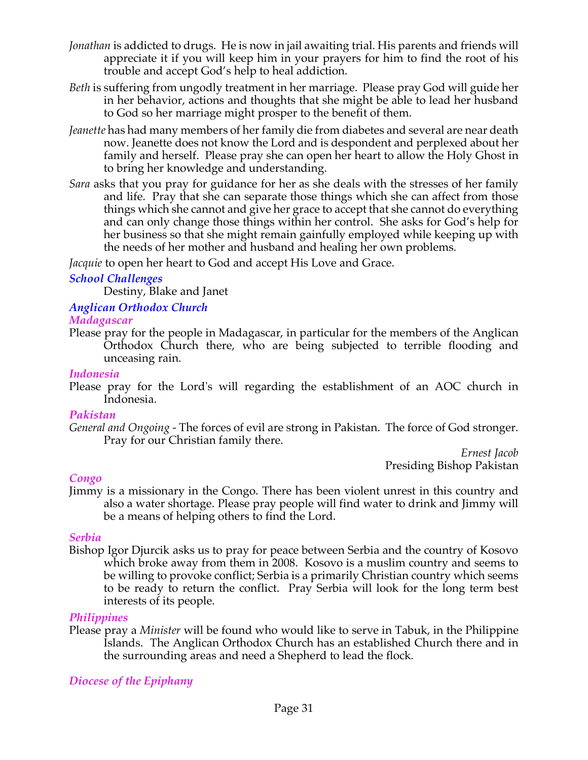- *Jonathan* is addicted to drugs. He is now in jail awaiting trial. His parents and friends will appreciate it if you will keep him in your prayers for him to find the root of his trouble and accept God's help to heal addiction.
- *Beth* is suffering from ungodly treatment in her marriage. Please pray God will guide her in her behavior, actions and thoughts that she might be able to lead her husband to God so her marriage might prosper to the benefit of them.
- *Jeanette* has had many members of her family die from diabetes and several are near death now. Jeanette does not know the Lord and is despondent and perplexed about her family and herself. Please pray she can open her heart to allow the Holy Ghost in to bring her knowledge and understanding.
- *Sara* asks that you pray for guidance for her as she deals with the stresses of her family and life. Pray that she can separate those things which she can affect from those things which she cannot and give her grace to accept that she cannot do everything and can only change those things within her control. She asks for God's help for her business so that she might remain gainfully employed while keeping up with the needs of her mother and husband and healing her own problems.

*Jacquie* to open her heart to God and accept His Love and Grace.

## *School Challenges*

Destiny, Blake and Janet

# *Anglican Orthodox Church*

#### *Madagascar*

Please pray for the people in Madagascar, in particular for the members of the Anglican Orthodox Church there, who are being subjected to terrible flooding and unceasing rain.

#### *Indonesia*

Please pray for the Lord's will regarding the establishment of an AOC church in Indonesia.

## *Pakistan*

*General and Ongoing -* The forces of evil are strong in Pakistan. The force of God stronger. Pray for our Christian family there.

*Ernest Jacob* Presiding Bishop Pakistan

## *Congo*

Jimmy is a missionary in the Congo. There has been violent unrest in this country and also a water shortage. Please pray people will find water to drink and Jimmy will be a means of helping others to find the Lord.

## *Serbia*

Bishop Igor Djurcik asks us to pray for peace between Serbia and the country of Kosovo which broke away from them in 2008. Kosovo is a muslim country and seems to be willing to provoke conflict; Serbia is a primarily Christian country which seems to be ready to return the conflict. Pray Serbia will look for the long term best interests of its people.

## *Philippines*

Please pray a *Minister* will be found who would like to serve in Tabuk, in the Philippine Islands. The Anglican Orthodox Church has an established Church there and in the surrounding areas and need a Shepherd to lead the flock*.*

## *Diocese of the Epiphany*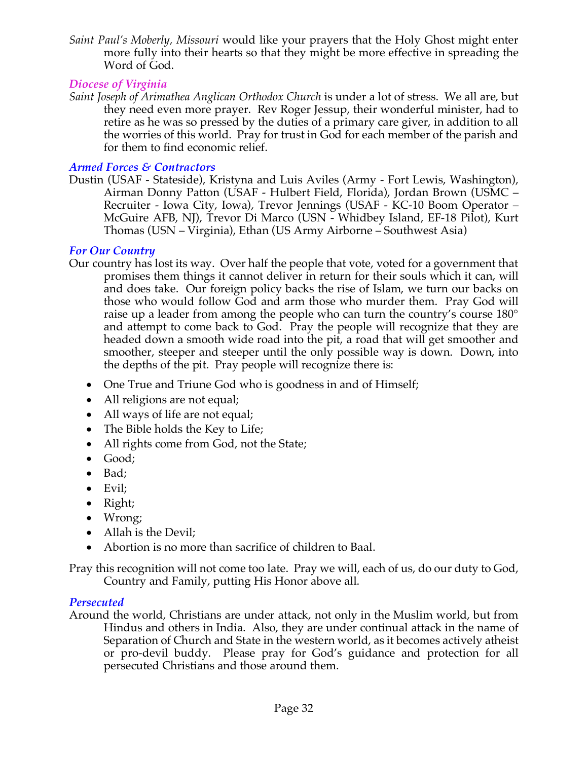*Saint Paul's Moberly, Missouri* would like your prayers that the Holy Ghost might enter more fully into their hearts so that they might be more effective in spreading the Word of God.

## *Diocese of Virginia*

*Saint Joseph of Arimathea Anglican Orthodox Church* is under a lot of stress. We all are, but they need even more prayer. Rev Roger Jessup, their wonderful minister, had to retire as he was so pressed by the duties of a primary care giver, in addition to all the worries of this world. Pray for trust in God for each member of the parish and for them to find economic relief.

# *Armed Forces & Contractors*

Dustin (USAF - Stateside), Kristyna and Luis Aviles (Army - Fort Lewis, Washington), Airman Donny Patton (USAF - Hulbert Field, Florida), Jordan Brown (USMC – Recruiter - Iowa City, Iowa), Trevor Jennings (USAF - KC-10 Boom Operator – McGuire AFB, NJ), Trevor Di Marco (USN - Whidbey Island, EF-18 Pilot), Kurt Thomas (USN – Virginia), Ethan (US Army Airborne – Southwest Asia)

# *For Our Country*

- Our country has lost its way. Over half the people that vote, voted for a government that promises them things it cannot deliver in return for their souls which it can, will and does take. Our foreign policy backs the rise of Islam, we turn our backs on those who would follow God and arm those who murder them. Pray God will raise up a leader from among the people who can turn the country's course 180° and attempt to come back to God. Pray the people will recognize that they are headed down a smooth wide road into the pit, a road that will get smoother and smoother, steeper and steeper until the only possible way is down. Down, into the depths of the pit. Pray people will recognize there is:
	- One True and Triune God who is goodness in and of Himself;
	- All religions are not equal;
	- All ways of life are not equal;
	- The Bible holds the Key to Life;
	- All rights come from God, not the State;
	- Good;
	- Bad;
	- Evil;
	- Right;
	- Wrong;
	- Allah is the Devil;
	- Abortion is no more than sacrifice of children to Baal.

Pray this recognition will not come too late. Pray we will, each of us, do our duty to God, Country and Family, putting His Honor above all.

# *Persecuted*

Around the world, Christians are under attack, not only in the Muslim world, but from Hindus and others in India. Also, they are under continual attack in the name of Separation of Church and State in the western world, as it becomes actively atheist or pro-devil buddy. Please pray for God's guidance and protection for all persecuted Christians and those around them.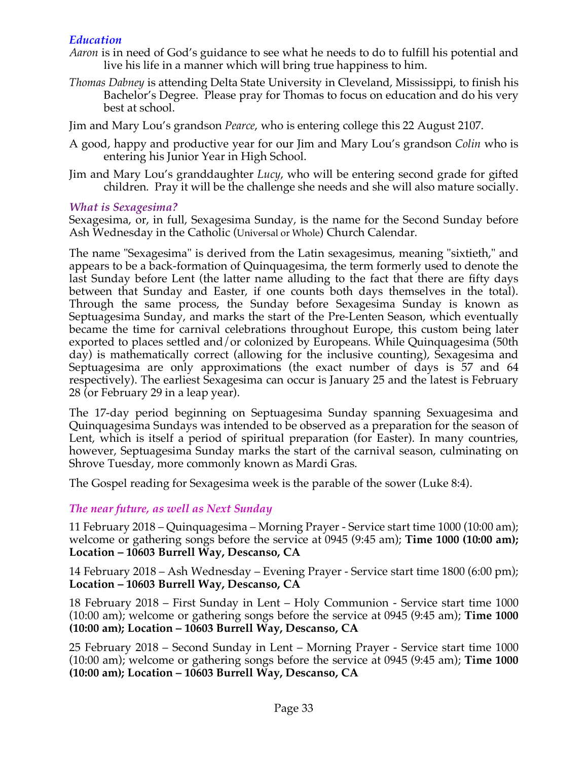## *Education*

- *Aaron* is in need of God's guidance to see what he needs to do to fulfill his potential and live his life in a manner which will bring true happiness to him.
- *Thomas Dabney* is attending Delta State University in Cleveland, Mississippi, to finish his Bachelor's Degree. Please pray for Thomas to focus on education and do his very best at school.

Jim and Mary Lou's grandson *Pearce*, who is entering college this 22 August 2107.

- A good, happy and productive year for our Jim and Mary Lou's grandson *Colin* who is entering his Junior Year in High School.
- Jim and Mary Lou's granddaughter *Lucy*, who will be entering second grade for gifted children. Pray it will be the challenge she needs and she will also mature socially.

#### *What is Sexagesima?*

Sexagesima, or, in full, Sexagesima Sunday, is the name for the Second Sunday before Ash Wednesday in the Catholic (Universal or Whole) Church Calendar.

The name "Sexagesima" is derived from the Latin sexagesimus, meaning "sixtieth," and appears to be a back-formation of Quinquagesima, the term formerly used to denote the last Sunday before Lent (the latter name alluding to the fact that there are fifty days between that Sunday and Easter, if one counts both days themselves in the total). Through the same process, the Sunday before Sexagesima Sunday is known as Septuagesima Sunday, and marks the start of the Pre-Lenten Season, which eventually became the time for carnival celebrations throughout Europe, this custom being later exported to places settled and/or colonized by Europeans. While Quinquagesima (50th day) is mathematically correct (allowing for the inclusive counting), Sexagesima and Septuagesima are only approximations (the exact number of days is 57 and 64 respectively). The earliest Sexagesima can occur is January 25 and the latest is February 28 (or February 29 in a leap year).

The 17-day period beginning on Septuagesima Sunday spanning Sexuagesima and Quinquagesima Sundays was intended to be observed as a preparation for the season of Lent, which is itself a period of spiritual preparation (for Easter). In many countries, however, Septuagesima Sunday marks the start of the carnival season, culminating on Shrove Tuesday, more commonly known as Mardi Gras.

The Gospel reading for Sexagesima week is the parable of the sower (Luke 8:4).

## *The near future, as well as Next Sunday*

11 February 2018 – Quinquagesima – Morning Prayer - Service start time 1000 (10:00 am); welcome or gathering songs before the service at 0945 (9:45 am); **Time 1000 (10:00 am); Location – 10603 Burrell Way, Descanso, CA**

14 February 2018 – Ash Wednesday – Evening Prayer - Service start time 1800 (6:00 pm); **Location – 10603 Burrell Way, Descanso, CA**

18 February 2018 – First Sunday in Lent – Holy Communion - Service start time 1000 (10:00 am); welcome or gathering songs before the service at 0945 (9:45 am); **Time 1000 (10:00 am); Location – 10603 Burrell Way, Descanso, CA**

25 February 2018 – Second Sunday in Lent – Morning Prayer - Service start time 1000 (10:00 am); welcome or gathering songs before the service at 0945 (9:45 am); **Time 1000 (10:00 am); Location – 10603 Burrell Way, Descanso, CA**